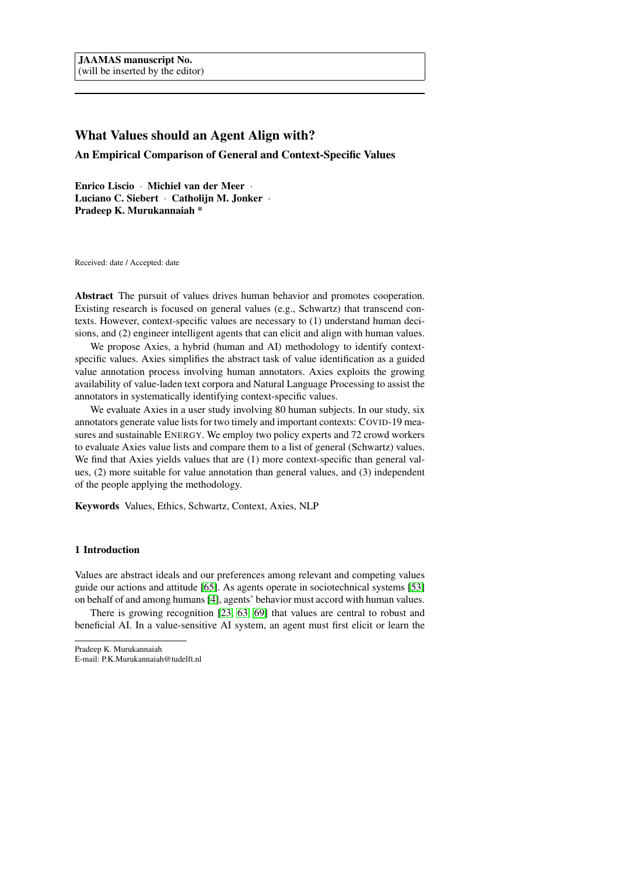# What Values should an Agent Align with?

An Empirical Comparison of General and Context-Specific Values

Enrico Liscio · Michiel van der Meer · Luciano C. Siebert · Catholijn M. Jonker · Pradeep K. Murukannaiah \*

Received: date / Accepted: date

Abstract The pursuit of values drives human behavior and promotes cooperation. Existing research is focused on general values (e.g., Schwartz) that transcend contexts. However, context-specific values are necessary to (1) understand human decisions, and (2) engineer intelligent agents that can elicit and align with human values.

We propose Axies, a hybrid (human and AI) methodology to identify contextspecific values. Axies simplifies the abstract task of value identification as a guided value annotation process involving human annotators. Axies exploits the growing availability of value-laden text corpora and Natural Language Processing to assist the annotators in systematically identifying context-specific values.

We evaluate Axies in a user study involving 80 human subjects. In our study, six annotators generate value lists for two timely and important contexts: COVID-19 measures and sustainable ENERGY. We employ two policy experts and 72 crowd workers to evaluate Axies value lists and compare them to a list of general (Schwartz) values. We find that Axies yields values that are (1) more context-specific than general values, (2) more suitable for value annotation than general values, and (3) independent of the people applying the methodology.

Keywords Values, Ethics, Schwartz, Context, Axies, NLP

## 1 Introduction

Values are abstract ideals and our preferences among relevant and competing values guide our actions and attitude [\[65\]](#page-34-0). As agents operate in sociotechnical systems [\[53\]](#page-33-0) on behalf of and among humans [\[4\]](#page-29-0), agents' behavior must accord with human values.

There is growing recognition [\[23,](#page-30-0) [63,](#page-34-1) [69\]](#page-34-2) that values are central to robust and beneficial AI. In a value-sensitive AI system, an agent must first elicit or learn the

Pradeep K. Murukannaiah E-mail: P.K.Murukannaiah@tudelft.nl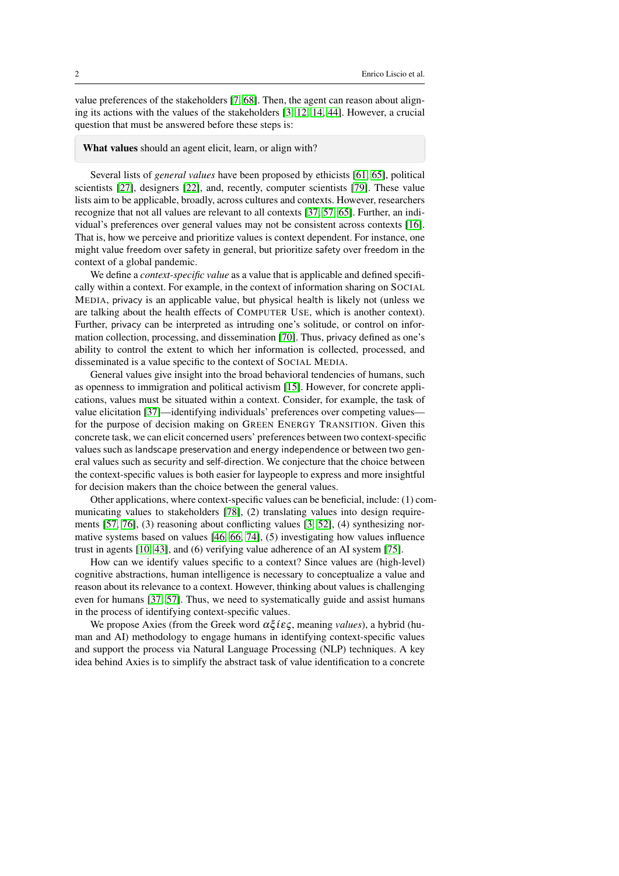value preferences of the stakeholders [\[7,](#page-29-1) [68\]](#page-34-3). Then, the agent can reason about aligning its actions with the values of the stakeholders [\[3,](#page-29-2) [12,](#page-29-3) [14,](#page-30-1) [44\]](#page-32-0). However, a crucial question that must be answered before these steps is:

#### What values should an agent elicit, learn, or align with?

Several lists of *general values* have been proposed by ethicists [\[61,](#page-33-1) [65\]](#page-34-0), political scientists [\[27\]](#page-31-0), designers [\[22\]](#page-30-2), and, recently, computer scientists [\[79\]](#page-35-0). These value lists aim to be applicable, broadly, across cultures and contexts. However, researchers recognize that not all values are relevant to all contexts [\[37,](#page-31-1) [57,](#page-33-2) [65\]](#page-34-0). Further, an individual's preferences over general values may not be consistent across contexts [\[16\]](#page-30-3). That is, how we perceive and prioritize values is context dependent. For instance, one might value freedom over safety in general, but prioritize safety over freedom in the context of a global pandemic.

We define a *context-specific value* as a value that is applicable and defined specifically within a context. For example, in the context of information sharing on SOCIAL MEDIA, privacy is an applicable value, but physical health is likely not (unless we are talking about the health effects of COMPUTER USE, which is another context). Further, privacy can be interpreted as intruding one's solitude, or control on information collection, processing, and dissemination [\[70\]](#page-34-4). Thus, privacy defined as one's ability to control the extent to which her information is collected, processed, and disseminated is a value specific to the context of SOCIAL MEDIA.

General values give insight into the broad behavioral tendencies of humans, such as openness to immigration and political activism [\[15\]](#page-30-4). However, for concrete applications, values must be situated within a context. Consider, for example, the task of value elicitation [\[37\]](#page-31-1)—identifying individuals' preferences over competing values for the purpose of decision making on GREEN ENERGY TRANSITION. Given this concrete task, we can elicit concerned users' preferences between two context-specific values such as landscape preservation and energy independence or between two general values such as security and self-direction. We conjecture that the choice between the context-specific values is both easier for laypeople to express and more insightful for decision makers than the choice between the general values.

Other applications, where context-specific values can be beneficial, include: (1) communicating values to stakeholders [\[78\]](#page-35-1), (2) translating values into design requirements [\[57,](#page-33-2) [76\]](#page-34-5), (3) reasoning about conflicting values [\[3,](#page-29-2) [52\]](#page-33-3), (4) synthesizing normative systems based on values [\[46,](#page-32-1) [66,](#page-34-6) [74\]](#page-34-7), (5) investigating how values influence trust in agents [\[10,](#page-29-4) [43\]](#page-32-2), and (6) verifying value adherence of an AI system [\[75\]](#page-34-8).

How can we identify values specific to a context? Since values are (high-level) cognitive abstractions, human intelligence is necessary to conceptualize a value and reason about its relevance to a context. However, thinking about values is challenging even for humans [\[37,](#page-31-1) [57\]](#page-33-2). Thus, we need to systematically guide and assist humans in the process of identifying context-specific values.

We propose Axies (from the Greek word  $\alpha \xi$ *iες*, meaning *values*), a hybrid (human and AI) methodology to engage humans in identifying context-specific values and support the process via Natural Language Processing (NLP) techniques. A key idea behind Axies is to simplify the abstract task of value identification to a concrete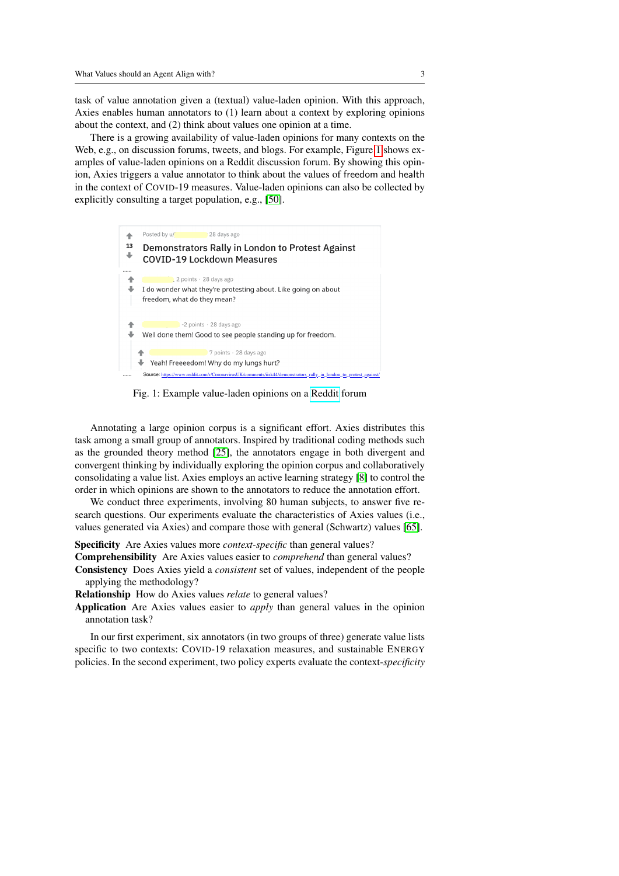task of value annotation given a (textual) value-laden opinion. With this approach, Axies enables human annotators to (1) learn about a context by exploring opinions about the context, and (2) think about values one opinion at a time.

There is a growing availability of value-laden opinions for many contexts on the Web, e.g., on discussion forums, tweets, and blogs. For example, Figure [1](#page-2-0) shows examples of value-laden opinions on a Reddit discussion forum. By showing this opinion, Axies triggers a value annotator to think about the values of freedom and health in the context of COVID-19 measures. Value-laden opinions can also be collected by explicitly consulting a target population, e.g., [\[50\]](#page-32-3).

<span id="page-2-0"></span>

Fig. 1: Example value-laden opinions on a [Reddit](https://www.reddit.com/r/CoronavirusUK/comments/iisk44/demonstrators_rally_in_london_to_protest_against/) forum

Annotating a large opinion corpus is a significant effort. Axies distributes this task among a small group of annotators. Inspired by traditional coding methods such as the grounded theory method [\[25\]](#page-30-5), the annotators engage in both divergent and convergent thinking by individually exploring the opinion corpus and collaboratively consolidating a value list. Axies employs an active learning strategy [\[8\]](#page-29-5) to control the order in which opinions are shown to the annotators to reduce the annotation effort.

We conduct three experiments, involving 80 human subjects, to answer five research questions. Our experiments evaluate the characteristics of Axies values (i.e., values generated via Axies) and compare those with general (Schwartz) values [\[65\]](#page-34-0).

#### Specificity Are Axies values more *context-specific* than general values?

Comprehensibility Are Axies values easier to *comprehend* than general values? Consistency Does Axies yield a *consistent* set of values, independent of the people applying the methodology?

Relationship How do Axies values *relate* to general values?

Application Are Axies values easier to *apply* than general values in the opinion annotation task?

In our first experiment, six annotators (in two groups of three) generate value lists specific to two contexts: COVID-19 relaxation measures, and sustainable ENERGY policies. In the second experiment, two policy experts evaluate the context-*specificity*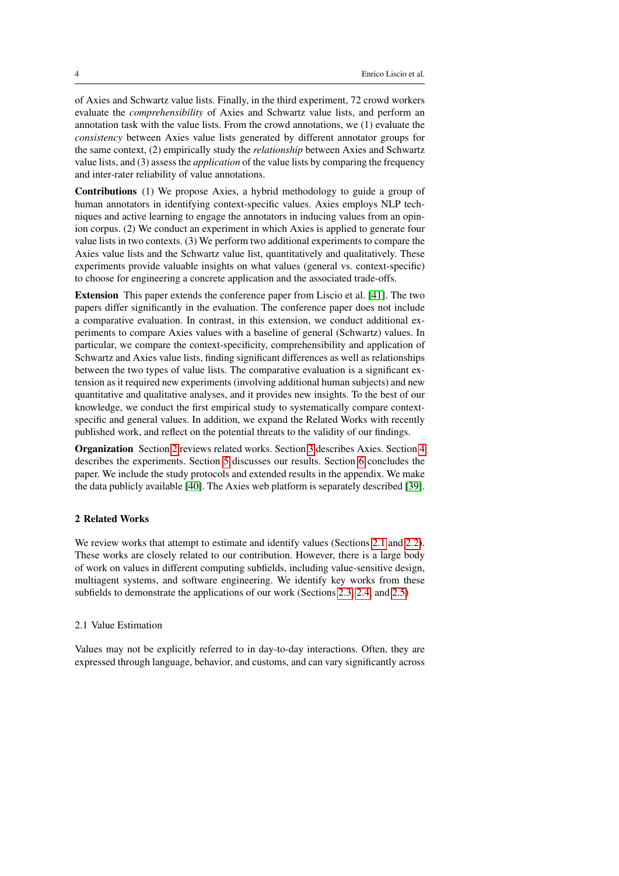of Axies and Schwartz value lists. Finally, in the third experiment, 72 crowd workers evaluate the *comprehensibility* of Axies and Schwartz value lists, and perform an annotation task with the value lists. From the crowd annotations, we (1) evaluate the *consistency* between Axies value lists generated by different annotator groups for the same context, (2) empirically study the *relationship* between Axies and Schwartz value lists, and (3) assess the *application* of the value lists by comparing the frequency and inter-rater reliability of value annotations.

Contributions (1) We propose Axies, a hybrid methodology to guide a group of human annotators in identifying context-specific values. Axies employs NLP techniques and active learning to engage the annotators in inducing values from an opinion corpus. (2) We conduct an experiment in which Axies is applied to generate four value lists in two contexts. (3) We perform two additional experiments to compare the Axies value lists and the Schwartz value list, quantitatively and qualitatively. These experiments provide valuable insights on what values (general vs. context-specific) to choose for engineering a concrete application and the associated trade-offs.

Extension This paper extends the conference paper from Liscio et al. [\[41\]](#page-32-4). The two papers differ significantly in the evaluation. The conference paper does not include a comparative evaluation. In contrast, in this extension, we conduct additional experiments to compare Axies values with a baseline of general (Schwartz) values. In particular, we compare the context-specificity, comprehensibility and application of Schwartz and Axies value lists, finding significant differences as well as relationships between the two types of value lists. The comparative evaluation is a significant extension as it required new experiments (involving additional human subjects) and new quantitative and qualitative analyses, and it provides new insights. To the best of our knowledge, we conduct the first empirical study to systematically compare contextspecific and general values. In addition, we expand the Related Works with recently published work, and reflect on the potential threats to the validity of our findings.

Organization Section [2](#page-3-0) reviews related works. Section [3](#page-5-0) describes Axies. Section [4](#page-11-0) describes the experiments. Section [5](#page-16-0) discusses our results. Section [6](#page-27-0) concludes the paper. We include the study protocols and extended results in the appendix. We make the data publicly available [\[40\]](#page-32-5). The Axies web platform is separately described [\[39\]](#page-31-2).

## <span id="page-3-0"></span>2 Related Works

We review works that attempt to estimate and identify values (Sections [2.1](#page-3-1) and [2.2\)](#page-4-0). These works are closely related to our contribution. However, there is a large body of work on values in different computing subfields, including value-sensitive design, multiagent systems, and software engineering. We identify key works from these subfields to demonstrate the applications of our work (Sections [2.3,](#page-4-1) [2.4,](#page-5-1) and [2.5\)](#page-5-2)

### <span id="page-3-1"></span>2.1 Value Estimation

Values may not be explicitly referred to in day-to-day interactions. Often, they are expressed through language, behavior, and customs, and can vary significantly across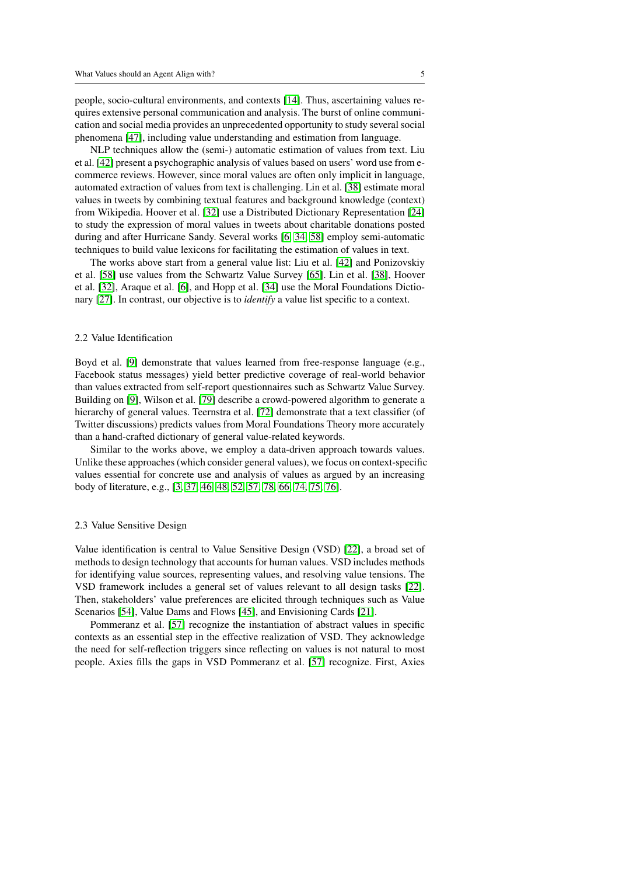people, socio-cultural environments, and contexts [\[14\]](#page-30-1). Thus, ascertaining values requires extensive personal communication and analysis. The burst of online communication and social media provides an unprecedented opportunity to study several social phenomena [\[47\]](#page-32-6), including value understanding and estimation from language.

NLP techniques allow the (semi-) automatic estimation of values from text. Liu et al. [\[42\]](#page-32-7) present a psychographic analysis of values based on users' word use from ecommerce reviews. However, since moral values are often only implicit in language, automated extraction of values from text is challenging. Lin et al. [\[38\]](#page-31-3) estimate moral values in tweets by combining textual features and background knowledge (context) from Wikipedia. Hoover et al. [\[32\]](#page-31-4) use a Distributed Dictionary Representation [\[24\]](#page-30-6) to study the expression of moral values in tweets about charitable donations posted during and after Hurricane Sandy. Several works [\[6,](#page-29-6) [34,](#page-31-5) [58\]](#page-33-4) employ semi-automatic techniques to build value lexicons for facilitating the estimation of values in text.

The works above start from a general value list: Liu et al. [\[42\]](#page-32-7) and Ponizovskiy et al. [\[58\]](#page-33-4) use values from the Schwartz Value Survey [\[65\]](#page-34-0). Lin et al. [\[38\]](#page-31-3), Hoover et al. [\[32\]](#page-31-4), Araque et al. [\[6\]](#page-29-6), and Hopp et al. [\[34\]](#page-31-5) use the Moral Foundations Dictionary [\[27\]](#page-31-0). In contrast, our objective is to *identify* a value list specific to a context.

## <span id="page-4-0"></span>2.2 Value Identification

Boyd et al. [\[9\]](#page-29-7) demonstrate that values learned from free-response language (e.g., Facebook status messages) yield better predictive coverage of real-world behavior than values extracted from self-report questionnaires such as Schwartz Value Survey. Building on [\[9\]](#page-29-7), Wilson et al. [\[79\]](#page-35-0) describe a crowd-powered algorithm to generate a hierarchy of general values. Teernstra et al. [\[72\]](#page-34-9) demonstrate that a text classifier (of Twitter discussions) predicts values from Moral Foundations Theory more accurately than a hand-crafted dictionary of general value-related keywords.

Similar to the works above, we employ a data-driven approach towards values. Unlike these approaches (which consider general values), we focus on context-specific values essential for concrete use and analysis of values as argued by an increasing body of literature, e.g., [\[3,](#page-29-2) [37,](#page-31-1) [46,](#page-32-1) [48,](#page-32-8) [52,](#page-33-3) [57,](#page-33-2) [78,](#page-35-1) [66,](#page-34-6) [74,](#page-34-7) [75,](#page-34-8) [76\]](#page-34-5).

#### <span id="page-4-1"></span>2.3 Value Sensitive Design

Value identification is central to Value Sensitive Design (VSD) [\[22\]](#page-30-2), a broad set of methods to design technology that accounts for human values. VSD includes methods for identifying value sources, representing values, and resolving value tensions. The VSD framework includes a general set of values relevant to all design tasks [\[22\]](#page-30-2). Then, stakeholders' value preferences are elicited through techniques such as Value Scenarios [\[54\]](#page-33-5), Value Dams and Flows [\[45\]](#page-32-9), and Envisioning Cards [\[21\]](#page-30-7).

Pommeranz et al. [\[57\]](#page-33-2) recognize the instantiation of abstract values in specific contexts as an essential step in the effective realization of VSD. They acknowledge the need for self-reflection triggers since reflecting on values is not natural to most people. Axies fills the gaps in VSD Pommeranz et al. [\[57\]](#page-33-2) recognize. First, Axies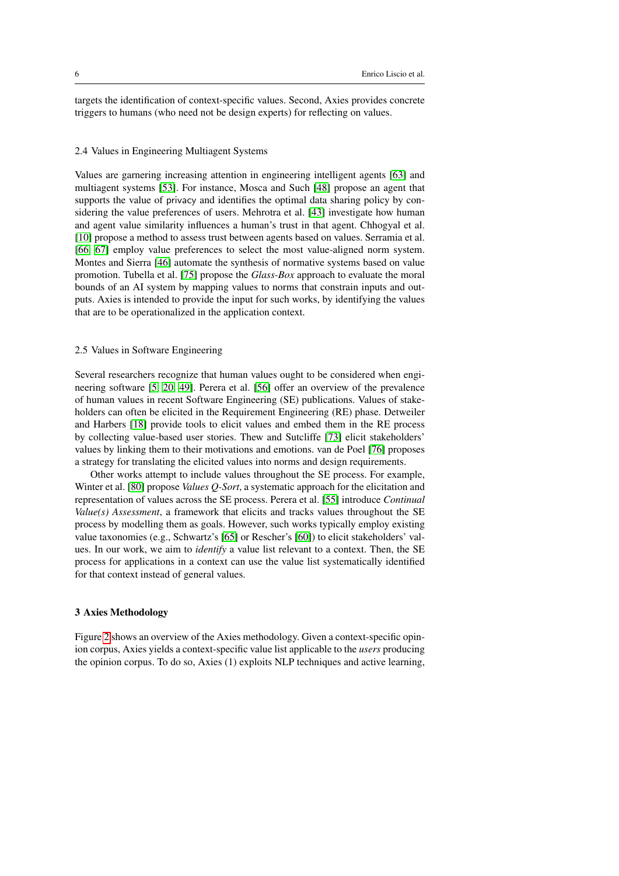targets the identification of context-specific values. Second, Axies provides concrete triggers to humans (who need not be design experts) for reflecting on values.

### <span id="page-5-1"></span>2.4 Values in Engineering Multiagent Systems

Values are garnering increasing attention in engineering intelligent agents [\[63\]](#page-34-1) and multiagent systems [\[53\]](#page-33-0). For instance, Mosca and Such [\[48\]](#page-32-8) propose an agent that supports the value of privacy and identifies the optimal data sharing policy by considering the value preferences of users. Mehrotra et al. [\[43\]](#page-32-2) investigate how human and agent value similarity influences a human's trust in that agent. Chhogyal et al. [\[10\]](#page-29-4) propose a method to assess trust between agents based on values. Serramia et al. [\[66,](#page-34-6) [67\]](#page-34-10) employ value preferences to select the most value-aligned norm system. Montes and Sierra [\[46\]](#page-32-1) automate the synthesis of normative systems based on value promotion. Tubella et al. [\[75\]](#page-34-8) propose the *Glass-Box* approach to evaluate the moral bounds of an AI system by mapping values to norms that constrain inputs and outputs. Axies is intended to provide the input for such works, by identifying the values that are to be operationalized in the application context.

## <span id="page-5-2"></span>2.5 Values in Software Engineering

Several researchers recognize that human values ought to be considered when engineering software [\[5,](#page-29-8) [20,](#page-30-8) [49\]](#page-32-10). Perera et al. [\[56\]](#page-33-6) offer an overview of the prevalence of human values in recent Software Engineering (SE) publications. Values of stakeholders can often be elicited in the Requirement Engineering (RE) phase. Detweiler and Harbers [\[18\]](#page-30-9) provide tools to elicit values and embed them in the RE process by collecting value-based user stories. Thew and Sutcliffe [\[73\]](#page-34-11) elicit stakeholders' values by linking them to their motivations and emotions. van de Poel [\[76\]](#page-34-5) proposes a strategy for translating the elicited values into norms and design requirements.

Other works attempt to include values throughout the SE process. For example, Winter et al. [\[80\]](#page-35-2) propose *Values Q-Sort*, a systematic approach for the elicitation and representation of values across the SE process. Perera et al. [\[55\]](#page-33-7) introduce *Continual Value(s) Assessment*, a framework that elicits and tracks values throughout the SE process by modelling them as goals. However, such works typically employ existing value taxonomies (e.g., Schwartz's [\[65\]](#page-34-0) or Rescher's [\[60\]](#page-33-8)) to elicit stakeholders' values. In our work, we aim to *identify* a value list relevant to a context. Then, the SE process for applications in a context can use the value list systematically identified for that context instead of general values.

## <span id="page-5-0"></span>3 Axies Methodology

Figure [2](#page-6-0) shows an overview of the Axies methodology. Given a context-specific opinion corpus, Axies yields a context-specific value list applicable to the *users* producing the opinion corpus. To do so, Axies (1) exploits NLP techniques and active learning,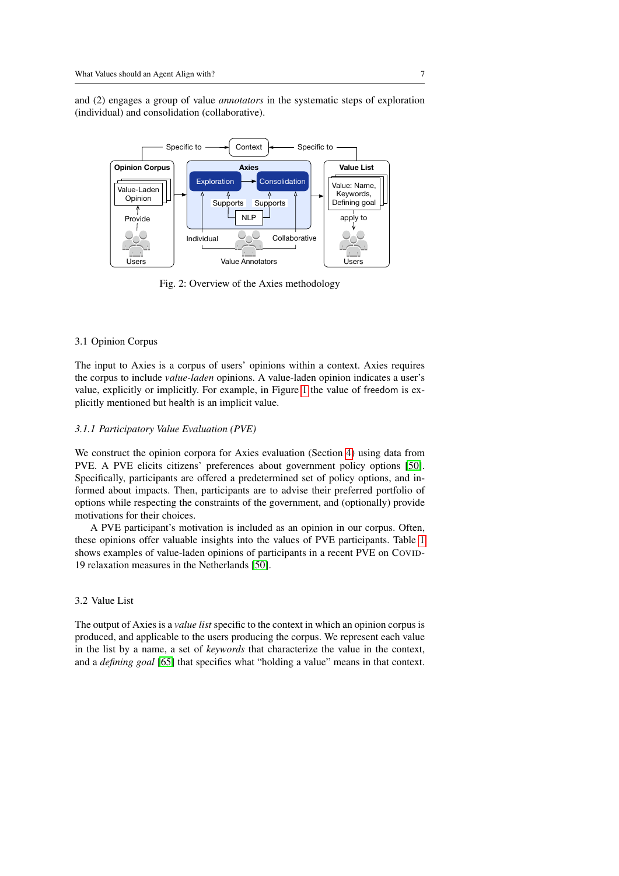and (2) engages a group of value *annotators* in the systematic steps of exploration (individual) and consolidation (collaborative).

<span id="page-6-0"></span>

Fig. 2: Overview of the Axies methodology

## 3.1 Opinion Corpus

The input to Axies is a corpus of users' opinions within a context. Axies requires the corpus to include *value-laden* opinions. A value-laden opinion indicates a user's value, explicitly or implicitly. For example, in Figure [1](#page-2-0) the value of freedom is explicitly mentioned but health is an implicit value.

## *3.1.1 Participatory Value Evaluation (PVE)*

We construct the opinion corpora for Axies evaluation (Section [4\)](#page-11-0) using data from PVE. A PVE elicits citizens' preferences about government policy options [\[50\]](#page-32-3). Specifically, participants are offered a predetermined set of policy options, and informed about impacts. Then, participants are to advise their preferred portfolio of options while respecting the constraints of the government, and (optionally) provide motivations for their choices.

A PVE participant's motivation is included as an opinion in our corpus. Often, these opinions offer valuable insights into the values of PVE participants. Table [1](#page-7-0) shows examples of value-laden opinions of participants in a recent PVE on COVID-19 relaxation measures in the Netherlands [\[50\]](#page-32-3).

## 3.2 Value List

The output of Axies is a *value list* specific to the context in which an opinion corpus is produced, and applicable to the users producing the corpus. We represent each value in the list by a name, a set of *keywords* that characterize the value in the context, and a *defining goal* [\[65\]](#page-34-0) that specifies what "holding a value" means in that context.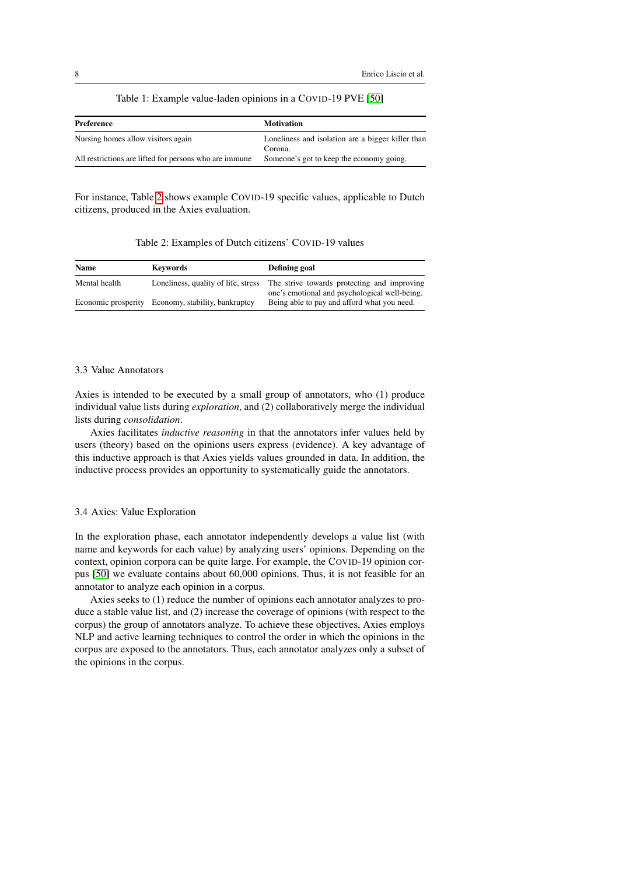## Table 1: Example value-laden opinions in a COVID-19 PVE [\[50\]](#page-32-3)

<span id="page-7-0"></span>

| Preference                                             | <b>Motivation</b>                                            |
|--------------------------------------------------------|--------------------------------------------------------------|
| Nursing homes allow visitors again                     | Loneliness and isolation are a bigger killer than<br>Corona. |
| All restrictions are lifted for persons who are immune | Someone's got to keep the economy going.                     |

For instance, Table [2](#page-7-1) shows example COVID-19 specific values, applicable to Dutch citizens, produced in the Axies evaluation.

Table 2: Examples of Dutch citizens' COVID-19 values

<span id="page-7-1"></span>

| Name          | <b>Keywords</b>                                    | Defining goal                                                                                |  |  |  |
|---------------|----------------------------------------------------|----------------------------------------------------------------------------------------------|--|--|--|
| Mental health | Loneliness, quality of life, stress                | The strive towards protecting and improving<br>one's emotional and psychological well-being. |  |  |  |
|               | Economic prosperity Economy, stability, bankruptcy | Being able to pay and afford what you need.                                                  |  |  |  |

## 3.3 Value Annotators

Axies is intended to be executed by a small group of annotators, who (1) produce individual value lists during *exploration*, and (2) collaboratively merge the individual lists during *consolidation*.

Axies facilitates *inductive reasoning* in that the annotators infer values held by users (theory) based on the opinions users express (evidence). A key advantage of this inductive approach is that Axies yields values grounded in data. In addition, the inductive process provides an opportunity to systematically guide the annotators.

## 3.4 Axies: Value Exploration

In the exploration phase, each annotator independently develops a value list (with name and keywords for each value) by analyzing users' opinions. Depending on the context, opinion corpora can be quite large. For example, the COVID-19 opinion corpus [\[50\]](#page-32-3) we evaluate contains about 60,000 opinions. Thus, it is not feasible for an annotator to analyze each opinion in a corpus.

Axies seeks to (1) reduce the number of opinions each annotator analyzes to produce a stable value list, and (2) increase the coverage of opinions (with respect to the corpus) the group of annotators analyze. To achieve these objectives, Axies employs NLP and active learning techniques to control the order in which the opinions in the corpus are exposed to the annotators. Thus, each annotator analyzes only a subset of the opinions in the corpus.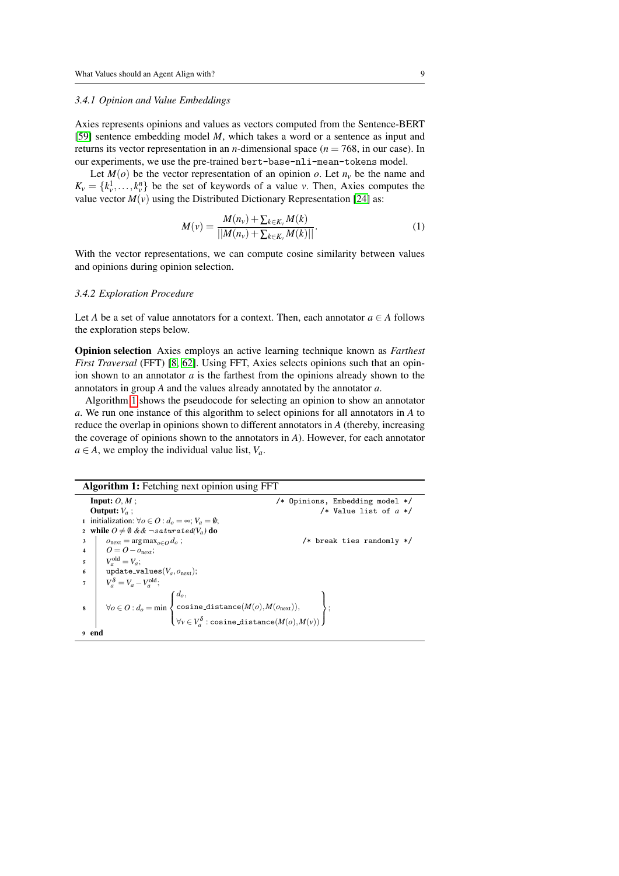#### *3.4.1 Opinion and Value Embeddings*

Axies represents opinions and values as vectors computed from the Sentence-BERT [\[59\]](#page-33-9) sentence embedding model *M*, which takes a word or a sentence as input and returns its vector representation in an *n*-dimensional space ( $n = 768$ , in our case). In our experiments, we use the pre-trained bert-base-nli-mean-tokens model.

Let  $M(o)$  be the vector representation of an opinion *o*. Let  $n<sub>v</sub>$  be the name and  $K_v = \{k_v^1, \ldots, k_v^n\}$  be the set of keywords of a value *v*. Then, Axies computes the value vector  $M(v)$  using the Distributed Dictionary Representation [\[24\]](#page-30-6) as:

$$
M(v) = \frac{M(n_v) + \sum_{k \in K_v} M(k)}{||M(n_v) + \sum_{k \in K_v} M(k)||}.
$$
 (1)

With the vector representations, we can compute cosine similarity between values and opinions during opinion selection.

## *3.4.2 Exploration Procedure*

Let *A* be a set of value annotators for a context. Then, each annotator  $a \in A$  follows the exploration steps below.

Opinion selection Axies employs an active learning technique known as *Farthest First Traversal* (FFT) [\[8,](#page-29-5) [62\]](#page-33-10). Using FFT, Axies selects opinions such that an opinion shown to an annotator *a* is the farthest from the opinions already shown to the annotators in group *A* and the values already annotated by the annotator *a*.

Algorithm [1](#page-8-0) shows the pseudocode for selecting an opinion to show an annotator *a*. We run one instance of this algorithm to select opinions for all annotators in *A* to reduce the overlap in opinions shown to different annotators in *A* (thereby, increasing the coverage of opinions shown to the annotators in *A*). However, for each annotator  $a \in A$ , we employ the individual value list,  $V_a$ .

<span id="page-8-0"></span>

| <b>Algorithm 1:</b> Fetching next opinion using FFT |                                                                      |                                 |  |  |
|-----------------------------------------------------|----------------------------------------------------------------------|---------------------------------|--|--|
|                                                     | <b>Input:</b> $O, M$ :                                               | /* Opinions, Embedding model */ |  |  |
|                                                     | <b>Output:</b> $V_a$ ;                                               | /* Value list of $a *$ /        |  |  |
|                                                     | 1 initialization: $\forall o \in O : d_o = \infty; V_a = \emptyset;$ |                                 |  |  |
|                                                     | 2 while $0 \neq \emptyset$ & $\&$ ¬saturated(V <sub>a</sub> ) do     |                                 |  |  |
| 3                                                   | $o_{\text{next}} = \arg \max_{o \in O} d_o$ ;                        | /* break ties randomly $*/$     |  |  |
| 4                                                   | $Q = Q - o_{\text{next}}$                                            |                                 |  |  |
| 5                                                   | $V_a^{\text{old}} = V_a$ ;                                           |                                 |  |  |
| $6\overline{6}$                                     | update_values( $V_a, o_{\text{next}}$ );                             |                                 |  |  |
| $\overline{7}$                                      | $V_a^{\delta} = V_a - V_a^{\text{old}};$                             |                                 |  |  |
|                                                     |                                                                      |                                 |  |  |
| 8                                                   |                                                                      |                                 |  |  |
|                                                     |                                                                      |                                 |  |  |
| <sub>9</sub> end                                    |                                                                      |                                 |  |  |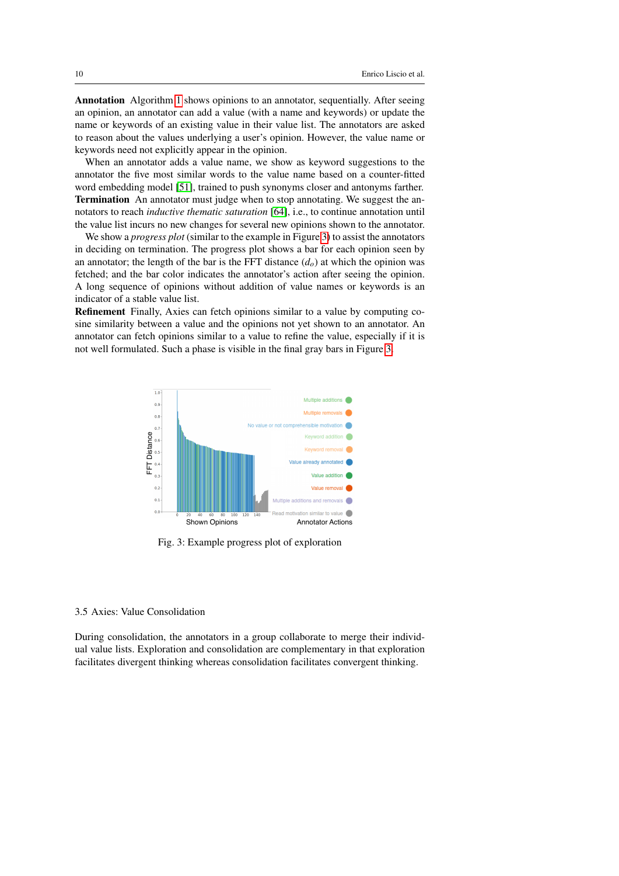Annotation Algorithm [1](#page-8-0) shows opinions to an annotator, sequentially. After seeing an opinion, an annotator can add a value (with a name and keywords) or update the name or keywords of an existing value in their value list. The annotators are asked to reason about the values underlying a user's opinion. However, the value name or keywords need not explicitly appear in the opinion.

When an annotator adds a value name, we show as keyword suggestions to the annotator the five most similar words to the value name based on a counter-fitted word embedding model [\[51\]](#page-33-11), trained to push synonyms closer and antonyms farther. Termination An annotator must judge when to stop annotating. We suggest the annotators to reach *inductive thematic saturation* [\[64\]](#page-34-12), i.e., to continue annotation until the value list incurs no new changes for several new opinions shown to the annotator.

We show a *progress plot* (similar to the example in Figure [3\)](#page-9-0) to assist the annotators in deciding on termination. The progress plot shows a bar for each opinion seen by an annotator; the length of the bar is the FFT distance  $(d<sub>o</sub>)$  at which the opinion was fetched; and the bar color indicates the annotator's action after seeing the opinion. A long sequence of opinions without addition of value names or keywords is an indicator of a stable value list.

Refinement Finally, Axies can fetch opinions similar to a value by computing cosine similarity between a value and the opinions not yet shown to an annotator. An annotator can fetch opinions similar to a value to refine the value, especially if it is not well formulated. Such a phase is visible in the final gray bars in Figure [3.](#page-9-0)

<span id="page-9-0"></span>

Fig. 3: Example progress plot of exploration

### 3.5 Axies: Value Consolidation

During consolidation, the annotators in a group collaborate to merge their individual value lists. Exploration and consolidation are complementary in that exploration facilitates divergent thinking whereas consolidation facilitates convergent thinking.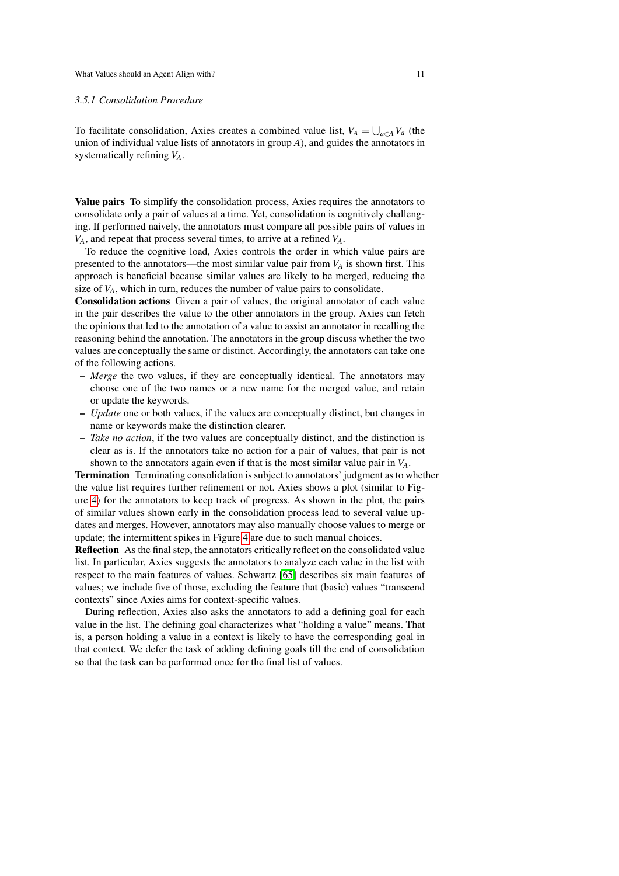## *3.5.1 Consolidation Procedure*

To facilitate consolidation, Axies creates a combined value list,  $V_A = \bigcup_{a \in A} V_a$  (the union of individual value lists of annotators in group *A*), and guides the annotators in systematically refining *VA*.

Value pairs To simplify the consolidation process, Axies requires the annotators to consolidate only a pair of values at a time. Yet, consolidation is cognitively challenging. If performed naively, the annotators must compare all possible pairs of values in *VA*, and repeat that process several times, to arrive at a refined *VA*.

To reduce the cognitive load, Axies controls the order in which value pairs are presented to the annotators—the most similar value pair from  $V_A$  is shown first. This approach is beneficial because similar values are likely to be merged, reducing the size of  $V_A$ , which in turn, reduces the number of value pairs to consolidate.

Consolidation actions Given a pair of values, the original annotator of each value in the pair describes the value to the other annotators in the group. Axies can fetch the opinions that led to the annotation of a value to assist an annotator in recalling the reasoning behind the annotation. The annotators in the group discuss whether the two values are conceptually the same or distinct. Accordingly, the annotators can take one of the following actions.

- *Merge* the two values, if they are conceptually identical. The annotators may choose one of the two names or a new name for the merged value, and retain or update the keywords.
- *Update* one or both values, if the values are conceptually distinct, but changes in name or keywords make the distinction clearer.
- *Take no action*, if the two values are conceptually distinct, and the distinction is clear as is. If the annotators take no action for a pair of values, that pair is not shown to the annotators again even if that is the most similar value pair in *VA*.

Termination Terminating consolidation is subject to annotators' judgment as to whether the value list requires further refinement or not. Axies shows a plot (similar to Figure [4\)](#page-11-1) for the annotators to keep track of progress. As shown in the plot, the pairs of similar values shown early in the consolidation process lead to several value updates and merges. However, annotators may also manually choose values to merge or update; the intermittent spikes in Figure [4](#page-11-1) are due to such manual choices.

Reflection As the final step, the annotators critically reflect on the consolidated value list. In particular, Axies suggests the annotators to analyze each value in the list with respect to the main features of values. Schwartz [\[65\]](#page-34-0) describes six main features of values; we include five of those, excluding the feature that (basic) values "transcend contexts" since Axies aims for context-specific values.

During reflection, Axies also asks the annotators to add a defining goal for each value in the list. The defining goal characterizes what "holding a value" means. That is, a person holding a value in a context is likely to have the corresponding goal in that context. We defer the task of adding defining goals till the end of consolidation so that the task can be performed once for the final list of values.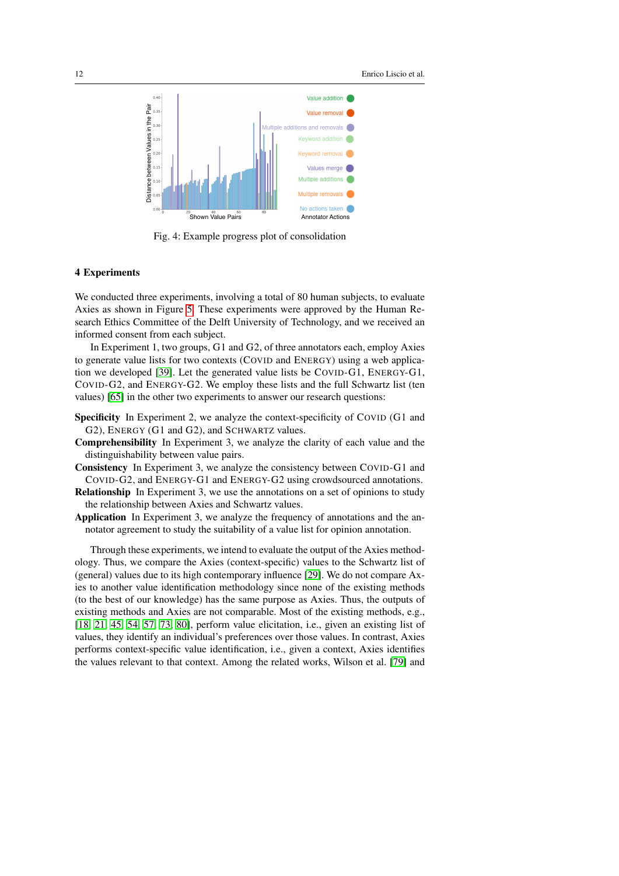<span id="page-11-1"></span>

Fig. 4: Example progress plot of consolidation

### <span id="page-11-0"></span>4 Experiments

We conducted three experiments, involving a total of 80 human subjects, to evaluate Axies as shown in Figure [5.](#page-12-0) These experiments were approved by the Human Research Ethics Committee of the Delft University of Technology, and we received an informed consent from each subject.

In Experiment 1, two groups, G1 and G2, of three annotators each, employ Axies to generate value lists for two contexts (COVID and ENERGY) using a web application we developed [\[39\]](#page-31-2). Let the generated value lists be COVID-G1, ENERGY-G1, COVID-G2, and ENERGY-G2. We employ these lists and the full Schwartz list (ten values) [\[65\]](#page-34-0) in the other two experiments to answer our research questions:

- Specificity In Experiment 2, we analyze the context-specificity of COVID (G1 and G2), ENERGY (G1 and G2), and SCHWARTZ values.
- Comprehensibility In Experiment 3, we analyze the clarity of each value and the distinguishability between value pairs.
- Consistency In Experiment 3, we analyze the consistency between COVID-G1 and COVID-G2, and ENERGY-G1 and ENERGY-G2 using crowdsourced annotations.
- Relationship In Experiment 3, we use the annotations on a set of opinions to study the relationship between Axies and Schwartz values.
- Application In Experiment 3, we analyze the frequency of annotations and the annotator agreement to study the suitability of a value list for opinion annotation.

Through these experiments, we intend to evaluate the output of the Axies methodology. Thus, we compare the Axies (context-specific) values to the Schwartz list of (general) values due to its high contemporary influence [\[29\]](#page-31-6). We do not compare Axies to another value identification methodology since none of the existing methods (to the best of our knowledge) has the same purpose as Axies. Thus, the outputs of existing methods and Axies are not comparable. Most of the existing methods, e.g., [\[18,](#page-30-9) [21,](#page-30-7) [45,](#page-32-9) [54,](#page-33-5) [57,](#page-33-2) [73,](#page-34-11) [80\]](#page-35-2), perform value elicitation, i.e., given an existing list of values, they identify an individual's preferences over those values. In contrast, Axies performs context-specific value identification, i.e., given a context, Axies identifies the values relevant to that context. Among the related works, Wilson et al. [\[79\]](#page-35-0) and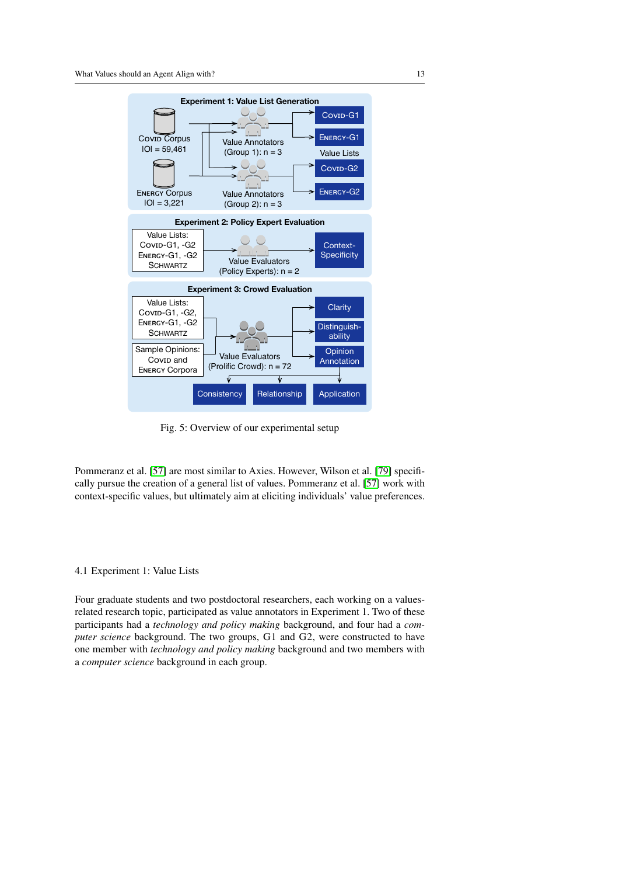<span id="page-12-0"></span>

Fig. 5: Overview of our experimental setup

Pommeranz et al. [\[57\]](#page-33-2) are most similar to Axies. However, Wilson et al. [\[79\]](#page-35-0) specifically pursue the creation of a general list of values. Pommeranz et al. [\[57\]](#page-33-2) work with context-specific values, but ultimately aim at eliciting individuals' value preferences.

#### 4.1 Experiment 1: Value Lists

Four graduate students and two postdoctoral researchers, each working on a valuesrelated research topic, participated as value annotators in Experiment 1. Two of these participants had a *technology and policy making* background, and four had a *computer science* background. The two groups, G1 and G2, were constructed to have one member with *technology and policy making* background and two members with a *computer science* background in each group.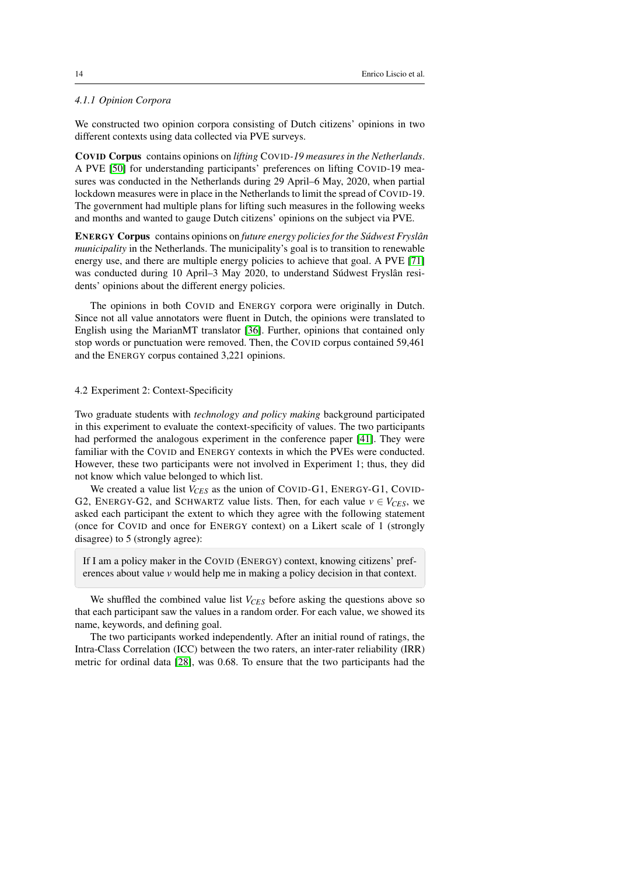## *4.1.1 Opinion Corpora*

We constructed two opinion corpora consisting of Dutch citizens' opinions in two different contexts using data collected via PVE surveys.

COVID Corpus contains opinions on *lifting* COVID*-19 measures in the Netherlands*. A PVE [\[50\]](#page-32-3) for understanding participants' preferences on lifting COVID-19 measures was conducted in the Netherlands during 29 April–6 May, 2020, when partial lockdown measures were in place in the Netherlands to limit the spread of COVID-19. The government had multiple plans for lifting such measures in the following weeks and months and wanted to gauge Dutch citizens' opinions on the subject via PVE.

ENERGY Corpus contains opinions on *future energy policies for the Súdwest Fryslân municipality* in the Netherlands. The municipality's goal is to transition to renewable energy use, and there are multiple energy policies to achieve that goal. A PVE [\[71\]](#page-34-13) was conducted during 10 April–3 May 2020, to understand Súdwest Fryslân residents' opinions about the different energy policies.

The opinions in both COVID and ENERGY corpora were originally in Dutch. Since not all value annotators were fluent in Dutch, the opinions were translated to English using the MarianMT translator [\[36\]](#page-31-7). Further, opinions that contained only stop words or punctuation were removed. Then, the COVID corpus contained 59,461 and the ENERGY corpus contained 3,221 opinions.

## 4.2 Experiment 2: Context-Specificity

Two graduate students with *technology and policy making* background participated in this experiment to evaluate the context-specificity of values. The two participants had performed the analogous experiment in the conference paper [\[41\]](#page-32-4). They were familiar with the COVID and ENERGY contexts in which the PVEs were conducted. However, these two participants were not involved in Experiment 1; thus, they did not know which value belonged to which list.

We created a value list *V<sub>CES</sub>* as the union of COVID-G1, ENERGY-G1, COVID-G2, ENERGY-G2, and SCHWARTZ value lists. Then, for each value  $v \in V_{CES}$ , we asked each participant the extent to which they agree with the following statement (once for COVID and once for ENERGY context) on a Likert scale of 1 (strongly disagree) to 5 (strongly agree):

If I am a policy maker in the COVID (ENERGY) context, knowing citizens' preferences about value *v* would help me in making a policy decision in that context.

We shuffled the combined value list *V<sub>CES</sub>* before asking the questions above so that each participant saw the values in a random order. For each value, we showed its name, keywords, and defining goal.

The two participants worked independently. After an initial round of ratings, the Intra-Class Correlation (ICC) between the two raters, an inter-rater reliability (IRR) metric for ordinal data [\[28\]](#page-31-8), was 0.68. To ensure that the two participants had the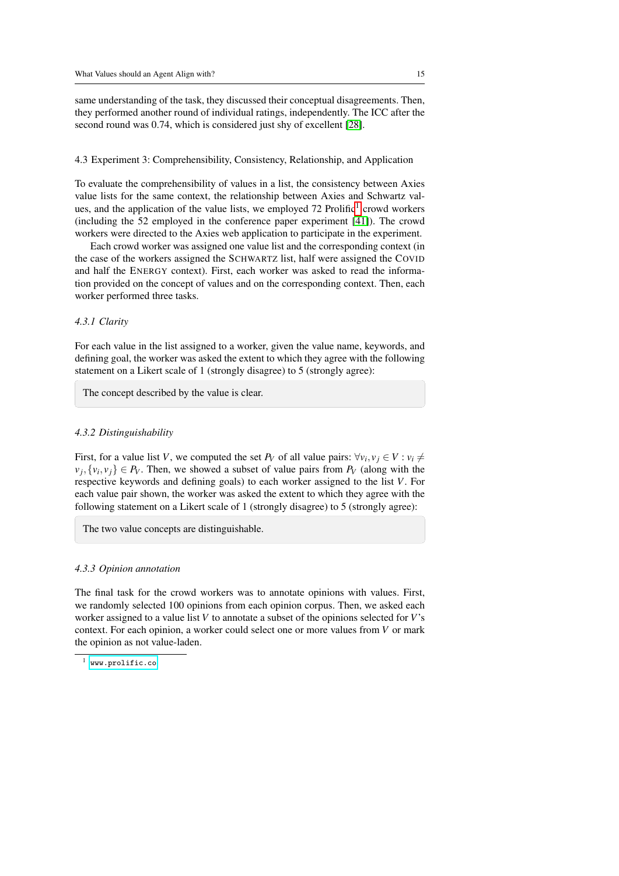same understanding of the task, they discussed their conceptual disagreements. Then, they performed another round of individual ratings, independently. The ICC after the second round was 0.74, which is considered just shy of excellent [\[28\]](#page-31-8).

#### 4.3 Experiment 3: Comprehensibility, Consistency, Relationship, and Application

To evaluate the comprehensibility of values in a list, the consistency between Axies value lists for the same context, the relationship between Axies and Schwartz values, and the application of the value lists, we employed  $72$  Prolific<sup>[1](#page-14-0)</sup> crowd workers (including the 52 employed in the conference paper experiment [\[41\]](#page-32-4)). The crowd workers were directed to the Axies web application to participate in the experiment.

Each crowd worker was assigned one value list and the corresponding context (in the case of the workers assigned the SCHWARTZ list, half were assigned the COVID and half the ENERGY context). First, each worker was asked to read the information provided on the concept of values and on the corresponding context. Then, each worker performed three tasks.

### *4.3.1 Clarity*

For each value in the list assigned to a worker, given the value name, keywords, and defining goal, the worker was asked the extent to which they agree with the following statement on a Likert scale of 1 (strongly disagree) to 5 (strongly agree):

The concept described by the value is clear.

## *4.3.2 Distinguishability*

First, for a value list *V*, we computed the set  $P_V$  of all value pairs:  $\forall v_i, v_j \in V : v_i \neq$  $v_j, \{v_i, v_j\} \in P_V$ . Then, we showed a subset of value pairs from  $P_V$  (along with the respective keywords and defining goals) to each worker assigned to the list *V*. For each value pair shown, the worker was asked the extent to which they agree with the following statement on a Likert scale of 1 (strongly disagree) to 5 (strongly agree):

The two value concepts are distinguishable.

#### <span id="page-14-1"></span>*4.3.3 Opinion annotation*

The final task for the crowd workers was to annotate opinions with values. First, we randomly selected 100 opinions from each opinion corpus. Then, we asked each worker assigned to a value list *V* to annotate a subset of the opinions selected for *V*'s context. For each opinion, a worker could select one or more values from *V* or mark the opinion as not value-laden.

<span id="page-14-0"></span><www.prolific.co>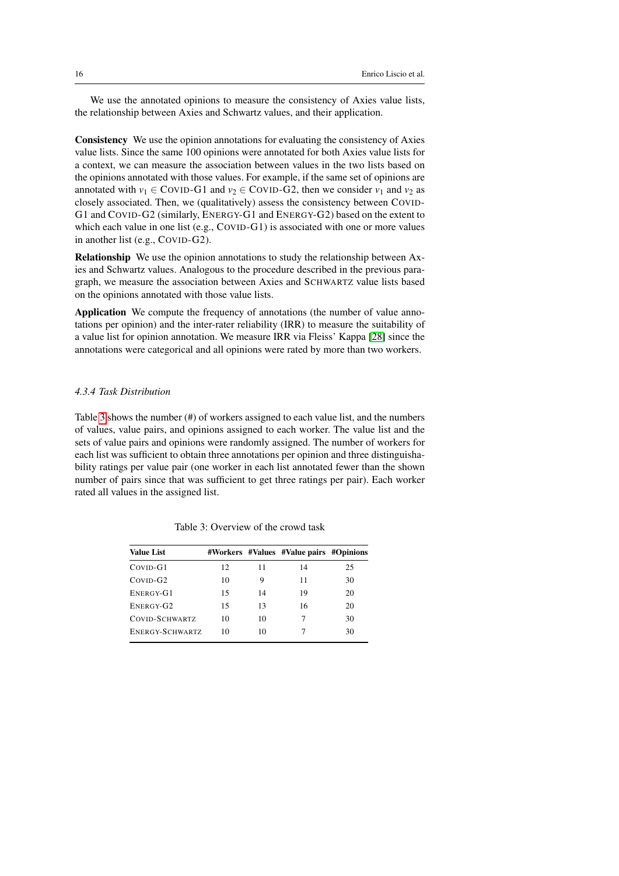We use the annotated opinions to measure the consistency of Axies value lists, the relationship between Axies and Schwartz values, and their application.

Consistency We use the opinion annotations for evaluating the consistency of Axies value lists. Since the same 100 opinions were annotated for both Axies value lists for a context, we can measure the association between values in the two lists based on the opinions annotated with those values. For example, if the same set of opinions are annotated with  $v_1 \in \text{CovID-G1}$  and  $v_2 \in \text{CovID-G2}$ , then we consider  $v_1$  and  $v_2$  as closely associated. Then, we (qualitatively) assess the consistency between COVID-G1 and COVID-G2 (similarly, ENERGY-G1 and ENERGY-G2) based on the extent to which each value in one list (e.g., COVID-G1) is associated with one or more values in another list (e.g., COVID-G2).

Relationship We use the opinion annotations to study the relationship between Axies and Schwartz values. Analogous to the procedure described in the previous paragraph, we measure the association between Axies and SCHWARTZ value lists based on the opinions annotated with those value lists.

Application We compute the frequency of annotations (the number of value annotations per opinion) and the inter-rater reliability (IRR) to measure the suitability of a value list for opinion annotation. We measure IRR via Fleiss' Kappa [\[28\]](#page-31-8) since the annotations were categorical and all opinions were rated by more than two workers.

## *4.3.4 Task Distribution*

Table [3](#page-15-0) shows the number (#) of workers assigned to each value list, and the numbers of values, value pairs, and opinions assigned to each worker. The value list and the sets of value pairs and opinions were randomly assigned. The number of workers for each list was sufficient to obtain three annotations per opinion and three distinguishability ratings per value pair (one worker in each list annotated fewer than the shown number of pairs since that was sufficient to get three ratings per pair). Each worker rated all values in the assigned list.

<span id="page-15-0"></span>

| <b>Value List</b> |    |    | #Workers #Values #Value pairs #Opinions |    |
|-------------------|----|----|-----------------------------------------|----|
| COVID-G1          | 12 | 11 | 14                                      | 25 |
| $CovID-G2$        | 10 | 9  | 11                                      | 30 |
| ENERGY-G1         | 15 | 14 | 19                                      | 20 |
| ENERGY-G2         | 15 | 13 | 16                                      | 20 |
| COVID-SCHWARTZ    | 10 | 10 | 7                                       | 30 |
| ENERGY-SCHWARTZ   | 10 | 10 |                                         | 30 |

Table 3: Overview of the crowd task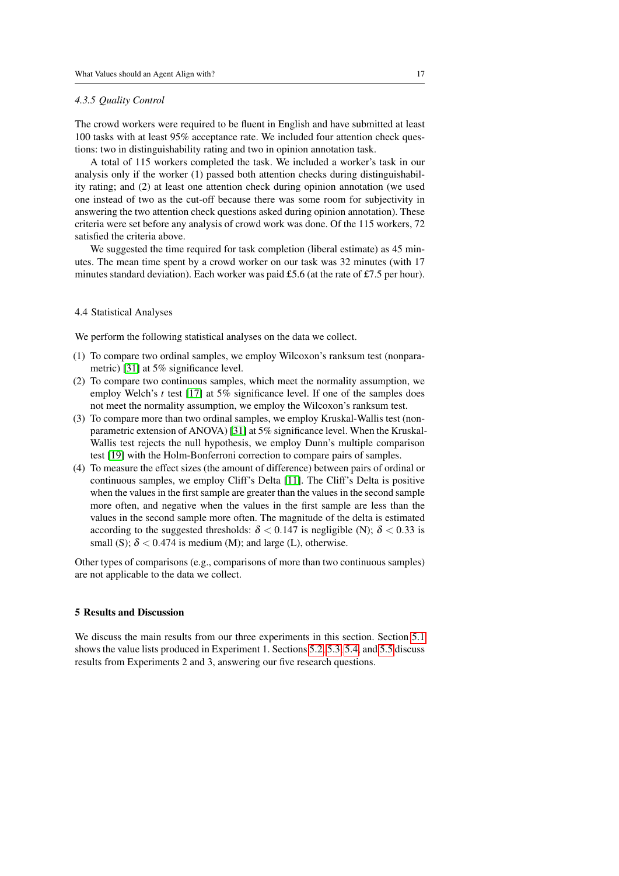#### *4.3.5 Quality Control*

The crowd workers were required to be fluent in English and have submitted at least 100 tasks with at least 95% acceptance rate. We included four attention check questions: two in distinguishability rating and two in opinion annotation task.

A total of 115 workers completed the task. We included a worker's task in our analysis only if the worker (1) passed both attention checks during distinguishability rating; and (2) at least one attention check during opinion annotation (we used one instead of two as the cut-off because there was some room for subjectivity in answering the two attention check questions asked during opinion annotation). These criteria were set before any analysis of crowd work was done. Of the 115 workers, 72 satisfied the criteria above.

We suggested the time required for task completion (liberal estimate) as 45 minutes. The mean time spent by a crowd worker on our task was 32 minutes (with 17 minutes standard deviation). Each worker was paid £5.6 (at the rate of £7.5 per hour).

## 4.4 Statistical Analyses

We perform the following statistical analyses on the data we collect.

- (1) To compare two ordinal samples, we employ Wilcoxon's ranksum test (nonparametric) [\[31\]](#page-31-9) at 5% significance level.
- (2) To compare two continuous samples, which meet the normality assumption, we employ Welch's *t* test [\[17\]](#page-30-10) at 5% significance level. If one of the samples does not meet the normality assumption, we employ the Wilcoxon's ranksum test.
- (3) To compare more than two ordinal samples, we employ Kruskal-Wallis test (nonparametric extension of ANOVA) [\[31\]](#page-31-9) at 5% significance level. When the Kruskal-Wallis test rejects the null hypothesis, we employ Dunn's multiple comparison test [\[19\]](#page-30-11) with the Holm-Bonferroni correction to compare pairs of samples.
- (4) To measure the effect sizes (the amount of difference) between pairs of ordinal or continuous samples, we employ Cliff's Delta [\[11\]](#page-29-9). The Cliff's Delta is positive when the values in the first sample are greater than the values in the second sample more often, and negative when the values in the first sample are less than the values in the second sample more often. The magnitude of the delta is estimated according to the suggested thresholds:  $\delta$  < 0.147 is negligible (N);  $\delta$  < 0.33 is small (S);  $\delta$  < 0.474 is medium (M); and large (L), otherwise.

Other types of comparisons (e.g., comparisons of more than two continuous samples) are not applicable to the data we collect.

## <span id="page-16-0"></span>5 Results and Discussion

We discuss the main results from our three experiments in this section. Section [5.1](#page-17-0) shows the value lists produced in Experiment 1. Sections [5.2,](#page-17-1) [5.3,](#page-19-0) [5.4,](#page-20-0) and [5.5](#page-22-0) discuss results from Experiments 2 and 3, answering our five research questions.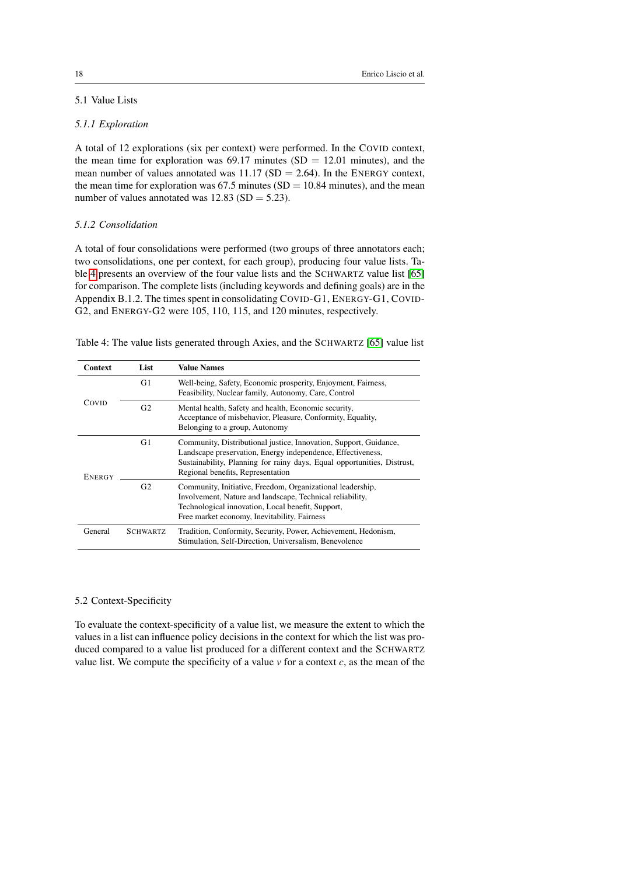# <span id="page-17-0"></span>5.1 Value Lists

## *5.1.1 Exploration*

A total of 12 explorations (six per context) were performed. In the COVID context, the mean time for exploration was  $69.17$  minutes (SD = 12.01 minutes), and the mean number of values annotated was  $11.17$  (SD = 2.64). In the ENERGY context, the mean time for exploration was  $67.5$  minutes (SD = 10.84 minutes), and the mean number of values annotated was  $12.83$  (SD = 5.23).

## *5.1.2 Consolidation*

A total of four consolidations were performed (two groups of three annotators each; two consolidations, one per context, for each group), producing four value lists. Table [4](#page-17-2) presents an overview of the four value lists and the SCHWARTZ value list [\[65\]](#page-34-0) for comparison. The complete lists (including keywords and defining goals) are in the Appendix B.1.2. The times spent in consolidating COVID-G1, ENERGY-G1, COVID-G2, and ENERGY-G2 were 105, 110, 115, and 120 minutes, respectively.

<span id="page-17-2"></span>Table 4: The value lists generated through Axies, and the SCHWARTZ [\[65\]](#page-34-0) value list

| Context       | List            | <b>Value Names</b>                                                                                                                                                                                                                               |
|---------------|-----------------|--------------------------------------------------------------------------------------------------------------------------------------------------------------------------------------------------------------------------------------------------|
| Covid         | G1              | Well-being, Safety, Economic prosperity, Enjoyment, Fairness,<br>Feasibility, Nuclear family, Autonomy, Care, Control                                                                                                                            |
|               | G <sub>2</sub>  | Mental health, Safety and health, Economic security,<br>Acceptance of misbehavior, Pleasure, Conformity, Equality,<br>Belonging to a group, Autonomy                                                                                             |
| <b>ENERGY</b> | G1              | Community, Distributional justice, Innovation, Support, Guidance,<br>Landscape preservation, Energy independence, Effectiveness,<br>Sustainability, Planning for rainy days, Equal opportunities, Distrust,<br>Regional benefits, Representation |
|               | G <sub>2</sub>  | Community, Initiative, Freedom, Organizational leadership,<br>Involvement, Nature and landscape, Technical reliability,<br>Technological innovation, Local benefit, Support,<br>Free market economy, Inevitability, Fairness                     |
| General       | <b>SCHWARTZ</b> | Tradition, Conformity, Security, Power, Achievement, Hedonism,<br>Stimulation, Self-Direction, Universalism, Benevolence                                                                                                                         |

## <span id="page-17-1"></span>5.2 Context-Specificity

To evaluate the context-specificity of a value list, we measure the extent to which the values in a list can influence policy decisions in the context for which the list was produced compared to a value list produced for a different context and the SCHWARTZ value list. We compute the specificity of a value  $\nu$  for a context  $c$ , as the mean of the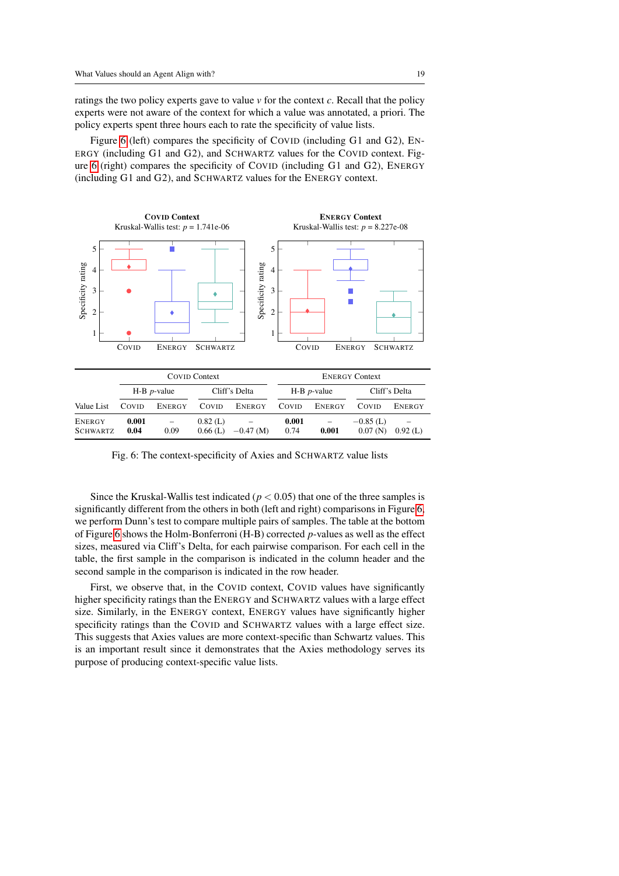ratings the two policy experts gave to value *v* for the context *c*. Recall that the policy experts were not aware of the context for which a value was annotated, a priori. The policy experts spent three hours each to rate the specificity of value lists.

Figure [6](#page-18-0) (left) compares the specificity of COVID (including G1 and G2), EN-ERGY (including G1 and G2), and SCHWARTZ values for the COVID context. Figure [6](#page-18-0) (right) compares the specificity of COVID (including G1 and G2), ENERGY (including G1 and G2), and SCHWARTZ values for the ENERGY context.

<span id="page-18-0"></span>

|                           | COVID Context |                                  |                       | <b>ENERGY Context</b> |                       |                                   |                        |                                        |
|---------------------------|---------------|----------------------------------|-----------------------|-----------------------|-----------------------|-----------------------------------|------------------------|----------------------------------------|
|                           |               | $H-B$ <i>p</i> -value            | Cliff's Delta         |                       | $H-B$ <i>p</i> -value |                                   | Cliff's Delta          |                                        |
| Value List                | COVID         | ENERGY                           | COVID                 | ENERGY                | COVID                 | ENERGY                            | COVID                  | ENERGY                                 |
| ENERGY<br><b>SCHWARTZ</b> | 0.001<br>0.04 | $\overline{\phantom{m}}$<br>0.09 | $0.82$ (L)<br>0.66(L) | $-0.47$ (M)           | 0.001<br>0.74         | $\overline{\phantom{0}}$<br>0.001 | $-0.85$ (L)<br>0.07(N) | $\overline{\phantom{0}}$<br>$0.92$ (L) |

Fig. 6: The context-specificity of Axies and SCHWARTZ value lists

Since the Kruskal-Wallis test indicated ( $p < 0.05$ ) that one of the three samples is significantly different from the others in both (left and right) comparisons in Figure [6,](#page-18-0) we perform Dunn's test to compare multiple pairs of samples. The table at the bottom of Figure [6](#page-18-0) shows the Holm-Bonferroni (H-B) corrected *p*-values as well as the effect sizes, measured via Cliff's Delta, for each pairwise comparison. For each cell in the table, the first sample in the comparison is indicated in the column header and the second sample in the comparison is indicated in the row header.

First, we observe that, in the COVID context, COVID values have significantly higher specificity ratings than the ENERGY and SCHWARTZ values with a large effect size. Similarly, in the ENERGY context, ENERGY values have significantly higher specificity ratings than the COVID and SCHWARTZ values with a large effect size. This suggests that Axies values are more context-specific than Schwartz values. This is an important result since it demonstrates that the Axies methodology serves its purpose of producing context-specific value lists.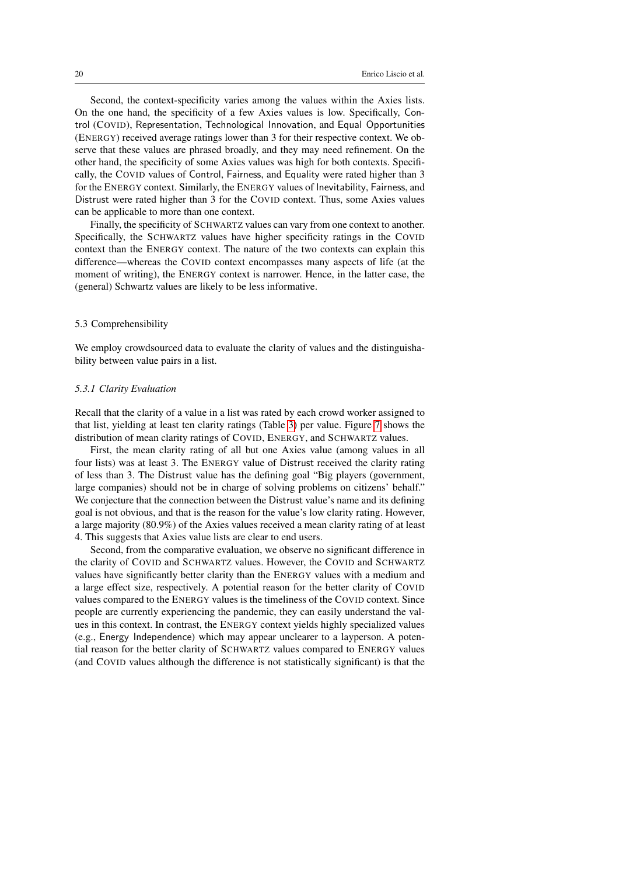Second, the context-specificity varies among the values within the Axies lists. On the one hand, the specificity of a few Axies values is low. Specifically, Control (COVID), Representation, Technological Innovation, and Equal Opportunities (ENERGY) received average ratings lower than 3 for their respective context. We observe that these values are phrased broadly, and they may need refinement. On the other hand, the specificity of some Axies values was high for both contexts. Specifically, the COVID values of Control, Fairness, and Equality were rated higher than 3 for the ENERGY context. Similarly, the ENERGY values of Inevitability, Fairness, and Distrust were rated higher than 3 for the COVID context. Thus, some Axies values can be applicable to more than one context.

Finally, the specificity of SCHWARTZ values can vary from one context to another. Specifically, the SCHWARTZ values have higher specificity ratings in the COVID context than the ENERGY context. The nature of the two contexts can explain this difference—whereas the COVID context encompasses many aspects of life (at the moment of writing), the ENERGY context is narrower. Hence, in the latter case, the (general) Schwartz values are likely to be less informative.

## <span id="page-19-0"></span>5.3 Comprehensibility

We employ crowdsourced data to evaluate the clarity of values and the distinguishability between value pairs in a list.

## *5.3.1 Clarity Evaluation*

Recall that the clarity of a value in a list was rated by each crowd worker assigned to that list, yielding at least ten clarity ratings (Table [3\)](#page-15-0) per value. Figure [7](#page-20-1) shows the distribution of mean clarity ratings of COVID, ENERGY, and SCHWARTZ values.

First, the mean clarity rating of all but one Axies value (among values in all four lists) was at least 3. The ENERGY value of Distrust received the clarity rating of less than 3. The Distrust value has the defining goal "Big players (government, large companies) should not be in charge of solving problems on citizens' behalf." We conjecture that the connection between the Distrust value's name and its defining goal is not obvious, and that is the reason for the value's low clarity rating. However, a large majority (80.9%) of the Axies values received a mean clarity rating of at least 4. This suggests that Axies value lists are clear to end users.

Second, from the comparative evaluation, we observe no significant difference in the clarity of COVID and SCHWARTZ values. However, the COVID and SCHWARTZ values have significantly better clarity than the ENERGY values with a medium and a large effect size, respectively. A potential reason for the better clarity of COVID values compared to the ENERGY values is the timeliness of the COVID context. Since people are currently experiencing the pandemic, they can easily understand the values in this context. In contrast, the ENERGY context yields highly specialized values (e.g., Energy Independence) which may appear unclearer to a layperson. A potential reason for the better clarity of SCHWARTZ values compared to ENERGY values (and COVID values although the difference is not statistically significant) is that the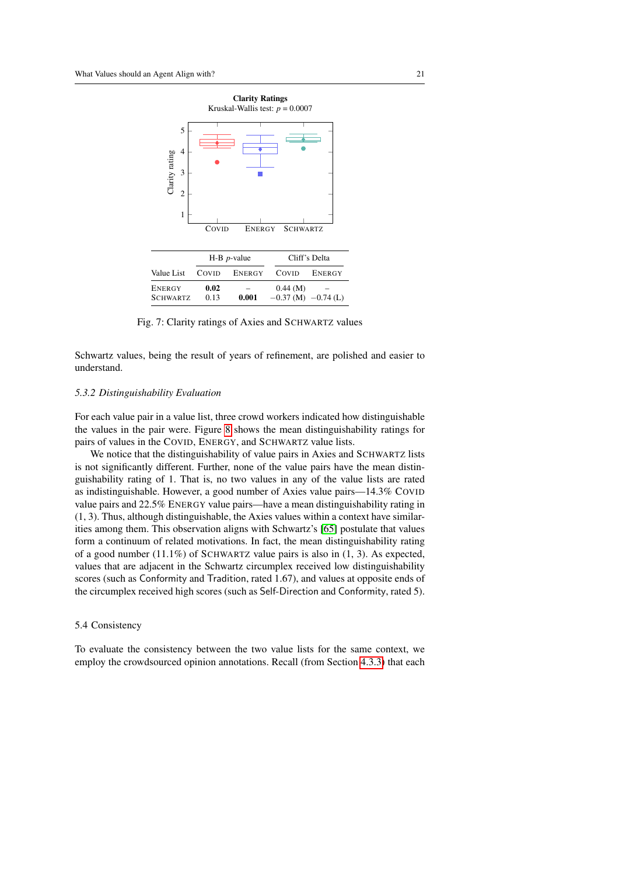<span id="page-20-1"></span>

Fig. 7: Clarity ratings of Axies and SCHWARTZ values

Schwartz values, being the result of years of refinement, are polished and easier to understand.

### *5.3.2 Distinguishability Evaluation*

For each value pair in a value list, three crowd workers indicated how distinguishable the values in the pair were. Figure [8](#page-21-0) shows the mean distinguishability ratings for pairs of values in the COVID, ENERGY, and SCHWARTZ value lists.

We notice that the distinguishability of value pairs in Axies and SCHWARTZ lists is not significantly different. Further, none of the value pairs have the mean distinguishability rating of 1. That is, no two values in any of the value lists are rated as indistinguishable. However, a good number of Axies value pairs—14.3% COVID value pairs and 22.5% ENERGY value pairs—have a mean distinguishability rating in (1, 3). Thus, although distinguishable, the Axies values within a context have similarities among them. This observation aligns with Schwartz's [\[65\]](#page-34-0) postulate that values form a continuum of related motivations. In fact, the mean distinguishability rating of a good number  $(11.1\%)$  of SCHWARTZ value pairs is also in  $(1, 3)$ . As expected, values that are adjacent in the Schwartz circumplex received low distinguishability scores (such as Conformity and Tradition, rated 1.67), and values at opposite ends of the circumplex received high scores (such as Self-Direction and Conformity, rated 5).

### <span id="page-20-0"></span>5.4 Consistency

To evaluate the consistency between the two value lists for the same context, we employ the crowdsourced opinion annotations. Recall (from Section [4.3.3\)](#page-14-1) that each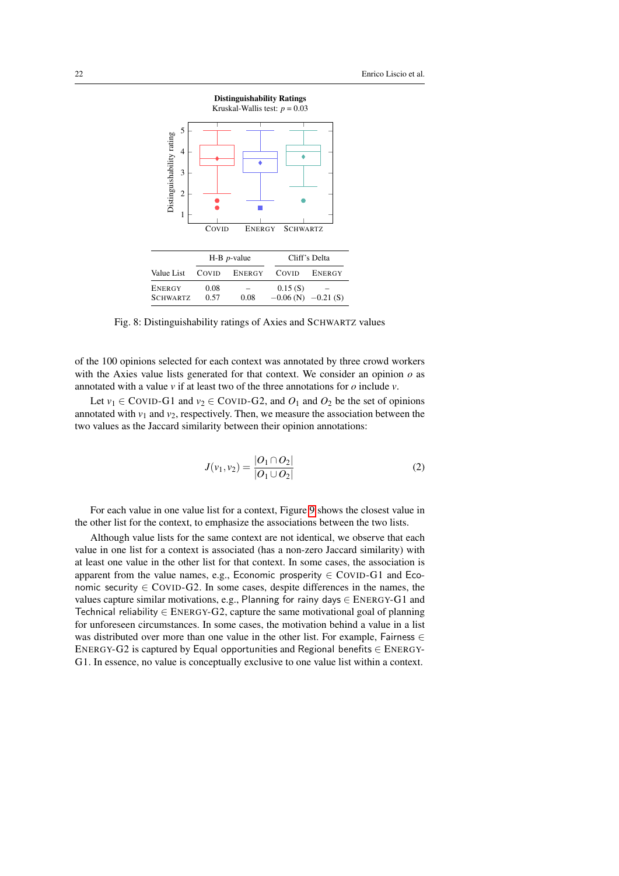<span id="page-21-0"></span>

Fig. 8: Distinguishability ratings of Axies and SCHWARTZ values

of the 100 opinions selected for each context was annotated by three crowd workers with the Axies value lists generated for that context. We consider an opinion *o* as annotated with a value *v* if at least two of the three annotations for *o* include *v*.

Let  $v_1 \in \text{CovID-G1}$  and  $v_2 \in \text{CovID-G2}$ , and  $O_1$  and  $O_2$  be the set of opinions annotated with  $v_1$  and  $v_2$ , respectively. Then, we measure the association between the two values as the Jaccard similarity between their opinion annotations:

$$
J(v_1, v_2) = \frac{|O_1 \cap O_2|}{|O_1 \cup O_2|} \tag{2}
$$

For each value in one value list for a context, Figure [9](#page-22-1) shows the closest value in the other list for the context, to emphasize the associations between the two lists.

Although value lists for the same context are not identical, we observe that each value in one list for a context is associated (has a non-zero Jaccard similarity) with at least one value in the other list for that context. In some cases, the association is apparent from the value names, e.g., Economic prosperity  $\in$  COVID-G1 and Economic security  $\in$  COVID-G2. In some cases, despite differences in the names, the values capture similar motivations, e.g., Planning for rainy days ∈ ENERGY-G1 and Technical reliability  $\in$  ENERGY-G2, capture the same motivational goal of planning for unforeseen circumstances. In some cases, the motivation behind a value in a list was distributed over more than one value in the other list. For example, Fairness  $\in$ ENERGY-G2 is captured by Equal opportunities and Regional benefits ∈ ENERGY-G1. In essence, no value is conceptually exclusive to one value list within a context.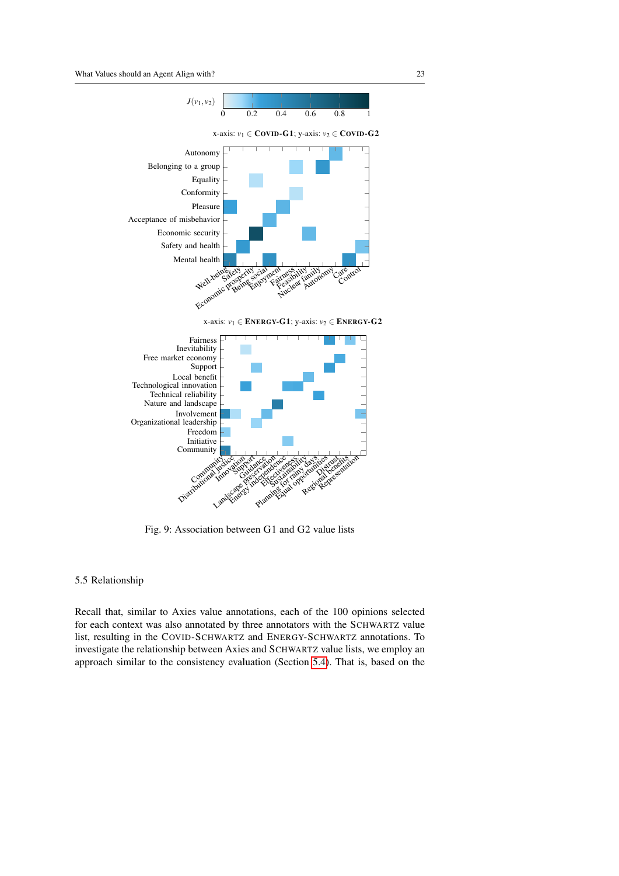<span id="page-22-1"></span>

x-axis: *v*<sup>1</sup> ∈ ENERGY-G1; y-axis: *v*<sup>2</sup> ∈ ENERGY-G2



Fig. 9: Association between G1 and G2 value lists

### <span id="page-22-0"></span>5.5 Relationship

Recall that, similar to Axies value annotations, each of the 100 opinions selected for each context was also annotated by three annotators with the SCHWARTZ value list, resulting in the COVID-SCHWARTZ and ENERGY-SCHWARTZ annotations. To investigate the relationship between Axies and SCHWARTZ value lists, we employ an approach similar to the consistency evaluation (Section [5.4\)](#page-20-0). That is, based on the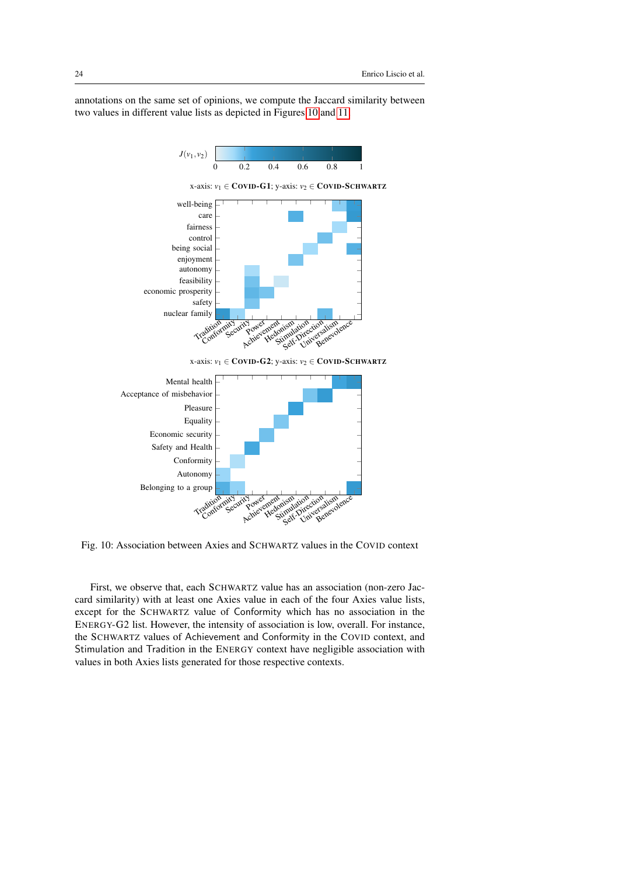annotations on the same set of opinions, we compute the Jaccard similarity between two values in different value lists as depicted in Figures [10](#page-23-0) and [11.](#page-24-0)

<span id="page-23-0"></span>



Fig. 10: Association between Axies and SCHWARTZ values in the COVID context

First, we observe that, each SCHWARTZ value has an association (non-zero Jaccard similarity) with at least one Axies value in each of the four Axies value lists, except for the SCHWARTZ value of Conformity which has no association in the ENERGY-G2 list. However, the intensity of association is low, overall. For instance, the SCHWARTZ values of Achievement and Conformity in the COVID context, and Stimulation and Tradition in the ENERGY context have negligible association with values in both Axies lists generated for those respective contexts.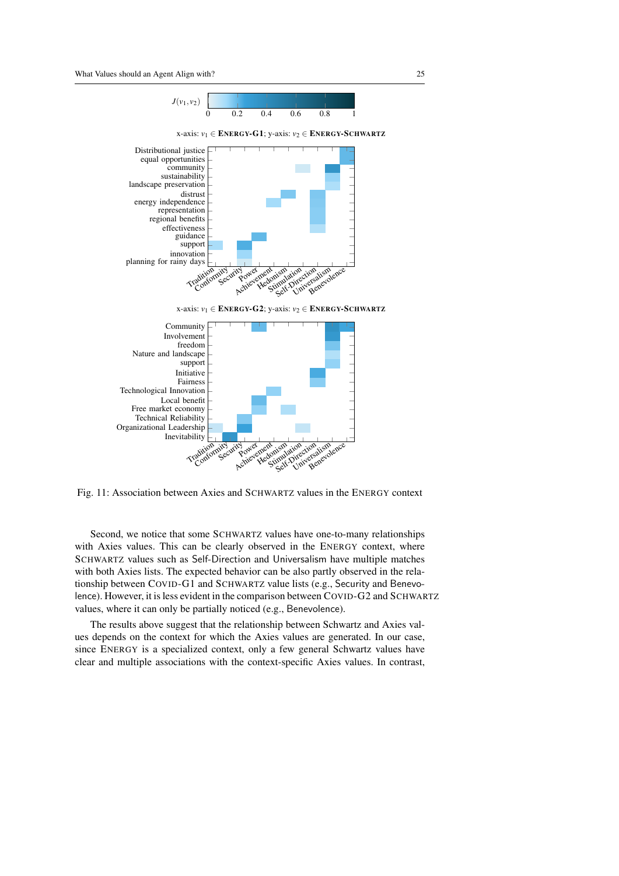<span id="page-24-0"></span>

n<sup>t</sup><br>Jonismation<br>Stimulation cives<br>Stimulation

Fig. 11: Association between Axies and SCHWARTZ values in the ENERGY context

Second, we notice that some SCHWARTZ values have one-to-many relationships with Axies values. This can be clearly observed in the ENERGY context, where SCHWARTZ values such as Self-Direction and Universalism have multiple matches with both Axies lists. The expected behavior can be also partly observed in the relationship between COVID-G1 and SCHWARTZ value lists (e.g., Security and Benevolence). However, it is less evident in the comparison between COVID-G2 and SCHWARTZ values, where it can only be partially noticed (e.g., Benevolence).

The results above suggest that the relationship between Schwartz and Axies values depends on the context for which the Axies values are generated. In our case, since ENERGY is a specialized context, only a few general Schwartz values have clear and multiple associations with the context-specific Axies values. In contrast,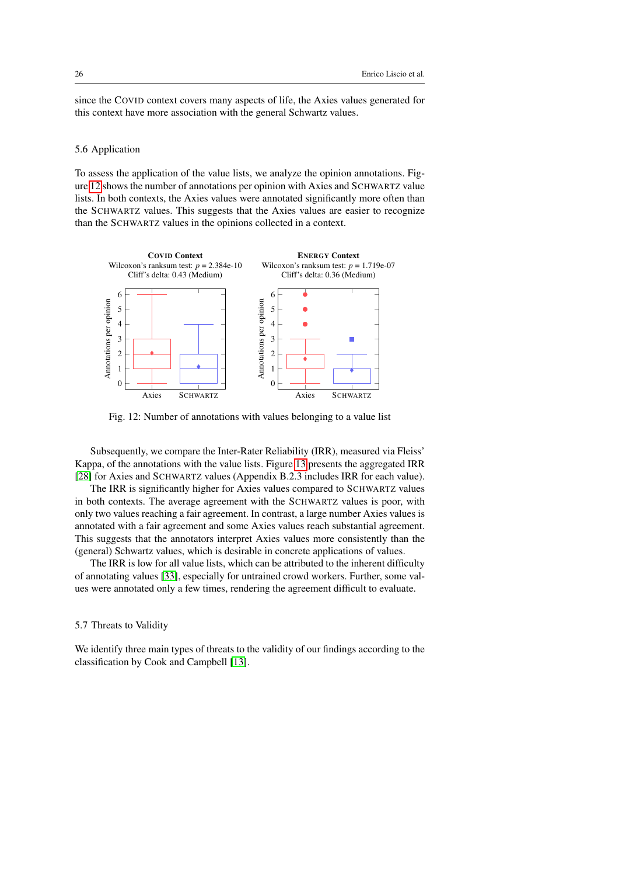since the COVID context covers many aspects of life, the Axies values generated for this context have more association with the general Schwartz values.

## 5.6 Application

To assess the application of the value lists, we analyze the opinion annotations. Figure [12](#page-25-0) shows the number of annotations per opinion with Axies and SCHWARTZ value lists. In both contexts, the Axies values were annotated significantly more often than the SCHWARTZ values. This suggests that the Axies values are easier to recognize than the SCHWARTZ values in the opinions collected in a context.

<span id="page-25-0"></span>

Fig. 12: Number of annotations with values belonging to a value list

Subsequently, we compare the Inter-Rater Reliability (IRR), measured via Fleiss' Kappa, of the annotations with the value lists. Figure [13](#page-26-0) presents the aggregated IRR [\[28\]](#page-31-8) for Axies and SCHWARTZ values (Appendix B.2.3 includes IRR for each value).

The IRR is significantly higher for Axies values compared to SCHWARTZ values in both contexts. The average agreement with the SCHWARTZ values is poor, with only two values reaching a fair agreement. In contrast, a large number Axies values is annotated with a fair agreement and some Axies values reach substantial agreement. This suggests that the annotators interpret Axies values more consistently than the (general) Schwartz values, which is desirable in concrete applications of values.

The IRR is low for all value lists, which can be attributed to the inherent difficulty of annotating values [\[33\]](#page-31-10), especially for untrained crowd workers. Further, some values were annotated only a few times, rendering the agreement difficult to evaluate.

### 5.7 Threats to Validity

We identify three main types of threats to the validity of our findings according to the classification by Cook and Campbell [\[13\]](#page-30-12).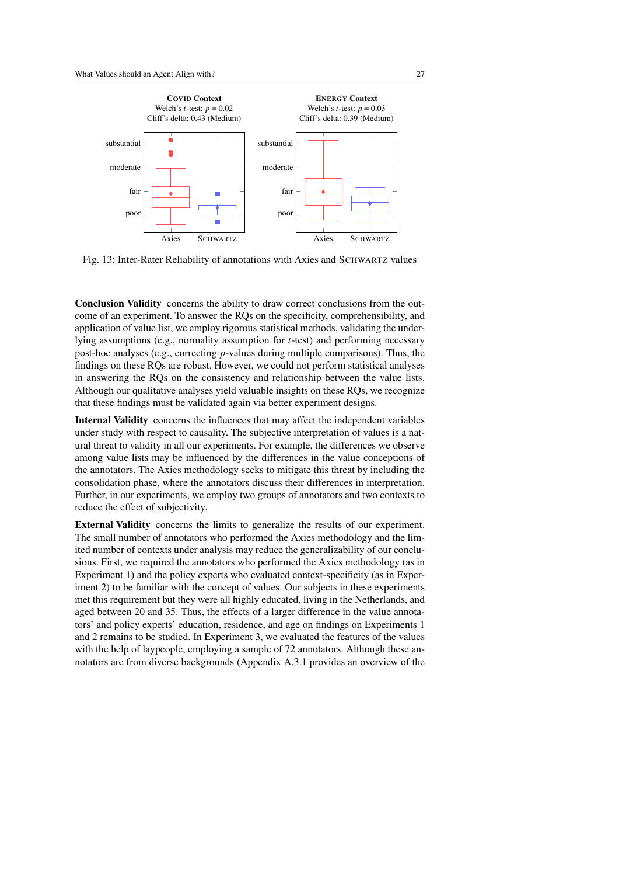<span id="page-26-0"></span>

Fig. 13: Inter-Rater Reliability of annotations with Axies and SCHWARTZ values

Conclusion Validity concerns the ability to draw correct conclusions from the outcome of an experiment. To answer the RQs on the specificity, comprehensibility, and application of value list, we employ rigorous statistical methods, validating the underlying assumptions (e.g., normality assumption for *t*-test) and performing necessary post-hoc analyses (e.g., correcting *p*-values during multiple comparisons). Thus, the findings on these RQs are robust. However, we could not perform statistical analyses in answering the RQs on the consistency and relationship between the value lists. Although our qualitative analyses yield valuable insights on these RQs, we recognize that these findings must be validated again via better experiment designs.

Internal Validity concerns the influences that may affect the independent variables under study with respect to causality. The subjective interpretation of values is a natural threat to validity in all our experiments. For example, the differences we observe among value lists may be influenced by the differences in the value conceptions of the annotators. The Axies methodology seeks to mitigate this threat by including the consolidation phase, where the annotators discuss their differences in interpretation. Further, in our experiments, we employ two groups of annotators and two contexts to reduce the effect of subjectivity.

External Validity concerns the limits to generalize the results of our experiment. The small number of annotators who performed the Axies methodology and the limited number of contexts under analysis may reduce the generalizability of our conclusions. First, we required the annotators who performed the Axies methodology (as in Experiment 1) and the policy experts who evaluated context-specificity (as in Experiment 2) to be familiar with the concept of values. Our subjects in these experiments met this requirement but they were all highly educated, living in the Netherlands, and aged between 20 and 35. Thus, the effects of a larger difference in the value annotators' and policy experts' education, residence, and age on findings on Experiments 1 and 2 remains to be studied. In Experiment 3, we evaluated the features of the values with the help of laypeople, employing a sample of 72 annotators. Although these annotators are from diverse backgrounds (Appendix A.3.1 provides an overview of the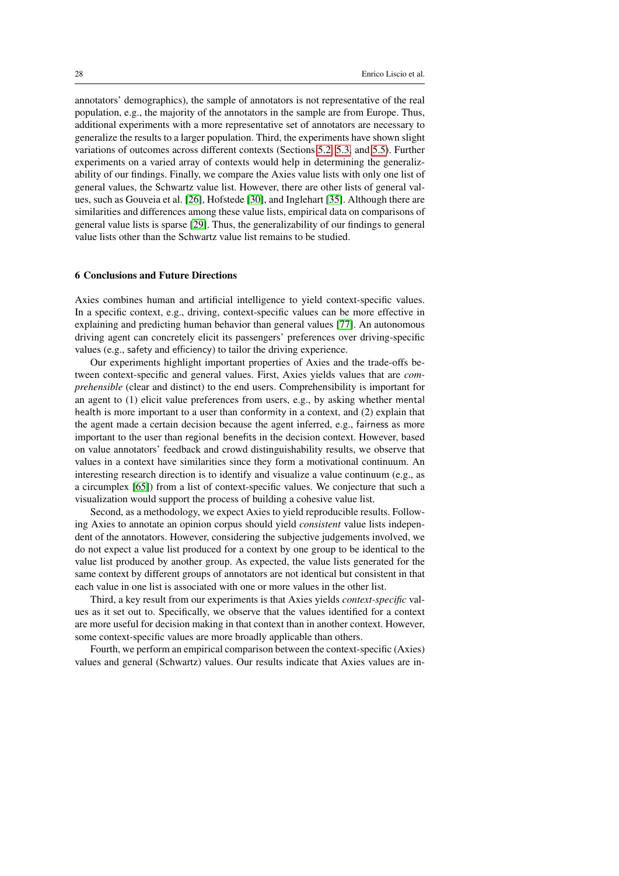annotators' demographics), the sample of annotators is not representative of the real population, e.g., the majority of the annotators in the sample are from Europe. Thus, additional experiments with a more representative set of annotators are necessary to generalize the results to a larger population. Third, the experiments have shown slight variations of outcomes across different contexts (Sections [5.2,](#page-17-1) [5.3,](#page-19-0) and [5.5\)](#page-22-0). Further experiments on a varied array of contexts would help in determining the generalizability of our findings. Finally, we compare the Axies value lists with only one list of general values, the Schwartz value list. However, there are other lists of general values, such as Gouveia et al. [\[26\]](#page-30-13), Hofstede [\[30\]](#page-31-11), and Inglehart [\[35\]](#page-31-12). Although there are similarities and differences among these value lists, empirical data on comparisons of general value lists is sparse [\[29\]](#page-31-6). Thus, the generalizability of our findings to general value lists other than the Schwartz value list remains to be studied.

## <span id="page-27-0"></span>6 Conclusions and Future Directions

Axies combines human and artificial intelligence to yield context-specific values. In a specific context, e.g., driving, context-specific values can be more effective in explaining and predicting human behavior than general values [\[77\]](#page-35-3). An autonomous driving agent can concretely elicit its passengers' preferences over driving-specific values (e.g., safety and efficiency) to tailor the driving experience.

Our experiments highlight important properties of Axies and the trade-offs between context-specific and general values. First, Axies yields values that are *comprehensible* (clear and distinct) to the end users. Comprehensibility is important for an agent to (1) elicit value preferences from users, e.g., by asking whether mental health is more important to a user than conformity in a context, and (2) explain that the agent made a certain decision because the agent inferred, e.g., fairness as more important to the user than regional benefits in the decision context. However, based on value annotators' feedback and crowd distinguishability results, we observe that values in a context have similarities since they form a motivational continuum. An interesting research direction is to identify and visualize a value continuum (e.g., as a circumplex [\[65\]](#page-34-0)) from a list of context-specific values. We conjecture that such a visualization would support the process of building a cohesive value list.

Second, as a methodology, we expect Axies to yield reproducible results. Following Axies to annotate an opinion corpus should yield *consistent* value lists independent of the annotators. However, considering the subjective judgements involved, we do not expect a value list produced for a context by one group to be identical to the value list produced by another group. As expected, the value lists generated for the same context by different groups of annotators are not identical but consistent in that each value in one list is associated with one or more values in the other list.

Third, a key result from our experiments is that Axies yields *context-specific* values as it set out to. Specifically, we observe that the values identified for a context are more useful for decision making in that context than in another context. However, some context-specific values are more broadly applicable than others.

Fourth, we perform an empirical comparison between the context-specific (Axies) values and general (Schwartz) values. Our results indicate that Axies values are in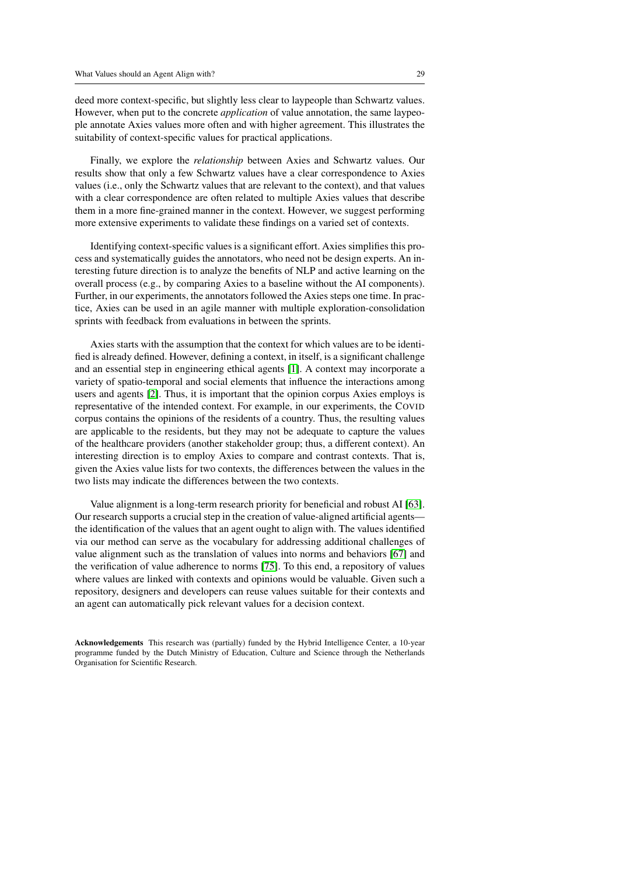deed more context-specific, but slightly less clear to laypeople than Schwartz values. However, when put to the concrete *application* of value annotation, the same laypeople annotate Axies values more often and with higher agreement. This illustrates the suitability of context-specific values for practical applications.

Finally, we explore the *relationship* between Axies and Schwartz values. Our results show that only a few Schwartz values have a clear correspondence to Axies values (i.e., only the Schwartz values that are relevant to the context), and that values with a clear correspondence are often related to multiple Axies values that describe them in a more fine-grained manner in the context. However, we suggest performing more extensive experiments to validate these findings on a varied set of contexts.

Identifying context-specific values is a significant effort. Axies simplifies this process and systematically guides the annotators, who need not be design experts. An interesting future direction is to analyze the benefits of NLP and active learning on the overall process (e.g., by comparing Axies to a baseline without the AI components). Further, in our experiments, the annotators followed the Axies steps one time. In practice, Axies can be used in an agile manner with multiple exploration-consolidation sprints with feedback from evaluations in between the sprints.

Axies starts with the assumption that the context for which values are to be identified is already defined. However, defining a context, in itself, is a significant challenge and an essential step in engineering ethical agents [\[1\]](#page-29-10). A context may incorporate a variety of spatio-temporal and social elements that influence the interactions among users and agents [\[2\]](#page-29-11). Thus, it is important that the opinion corpus Axies employs is representative of the intended context. For example, in our experiments, the COVID corpus contains the opinions of the residents of a country. Thus, the resulting values are applicable to the residents, but they may not be adequate to capture the values of the healthcare providers (another stakeholder group; thus, a different context). An interesting direction is to employ Axies to compare and contrast contexts. That is, given the Axies value lists for two contexts, the differences between the values in the two lists may indicate the differences between the two contexts.

Value alignment is a long-term research priority for beneficial and robust AI [\[63\]](#page-34-1). Our research supports a crucial step in the creation of value-aligned artificial agents the identification of the values that an agent ought to align with. The values identified via our method can serve as the vocabulary for addressing additional challenges of value alignment such as the translation of values into norms and behaviors [\[67\]](#page-34-10) and the verification of value adherence to norms [\[75\]](#page-34-8). To this end, a repository of values where values are linked with contexts and opinions would be valuable. Given such a repository, designers and developers can reuse values suitable for their contexts and an agent can automatically pick relevant values for a decision context.

Acknowledgements This research was (partially) funded by the Hybrid Intelligence Center, a 10-year programme funded by the Dutch Ministry of Education, Culture and Science through the Netherlands Organisation for Scientific Research.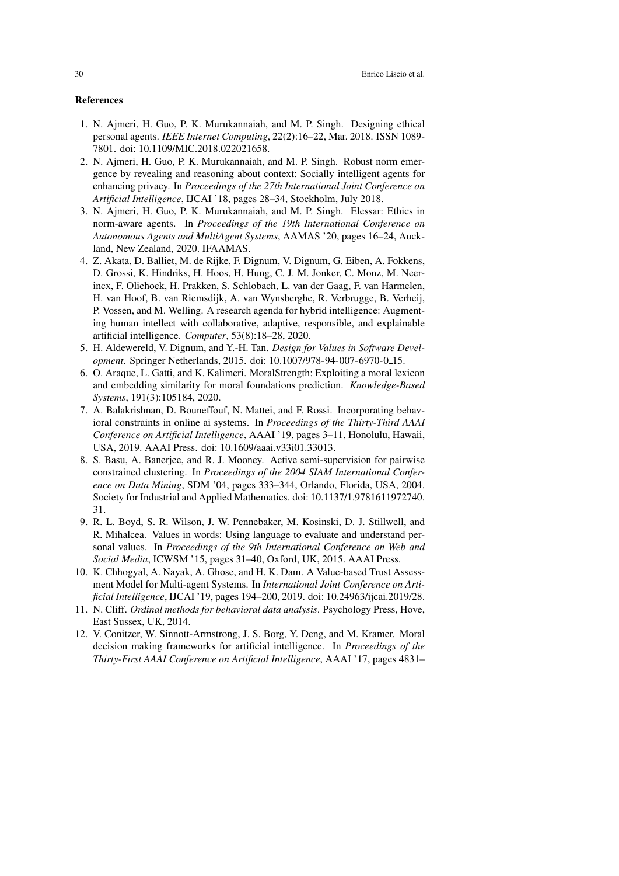## References

- <span id="page-29-10"></span>1. N. Ajmeri, H. Guo, P. K. Murukannaiah, and M. P. Singh. Designing ethical personal agents. *IEEE Internet Computing*, 22(2):16–22, Mar. 2018. ISSN 1089- 7801. doi: 10.1109/MIC.2018.022021658.
- <span id="page-29-11"></span>2. N. Ajmeri, H. Guo, P. K. Murukannaiah, and M. P. Singh. Robust norm emergence by revealing and reasoning about context: Socially intelligent agents for enhancing privacy. In *Proceedings of the 27th International Joint Conference on Artificial Intelligence*, IJCAI '18, pages 28–34, Stockholm, July 2018.
- <span id="page-29-2"></span>3. N. Ajmeri, H. Guo, P. K. Murukannaiah, and M. P. Singh. Elessar: Ethics in norm-aware agents. In *Proceedings of the 19th International Conference on Autonomous Agents and MultiAgent Systems*, AAMAS '20, pages 16–24, Auckland, New Zealand, 2020. IFAAMAS.
- <span id="page-29-0"></span>4. Z. Akata, D. Balliet, M. de Rijke, F. Dignum, V. Dignum, G. Eiben, A. Fokkens, D. Grossi, K. Hindriks, H. Hoos, H. Hung, C. J. M. Jonker, C. Monz, M. Neerincx, F. Oliehoek, H. Prakken, S. Schlobach, L. van der Gaag, F. van Harmelen, H. van Hoof, B. van Riemsdijk, A. van Wynsberghe, R. Verbrugge, B. Verheij, P. Vossen, and M. Welling. A research agenda for hybrid intelligence: Augmenting human intellect with collaborative, adaptive, responsible, and explainable artificial intelligence. *Computer*, 53(8):18–28, 2020.
- <span id="page-29-8"></span>5. H. Aldewereld, V. Dignum, and Y.-H. Tan. *Design for Values in Software Development*. Springer Netherlands, 2015. doi: 10.1007/978-94-007-6970-0 15.
- <span id="page-29-6"></span>6. O. Araque, L. Gatti, and K. Kalimeri. MoralStrength: Exploiting a moral lexicon and embedding similarity for moral foundations prediction. *Knowledge-Based Systems*, 191(3):105184, 2020.
- <span id="page-29-1"></span>7. A. Balakrishnan, D. Bouneffouf, N. Mattei, and F. Rossi. Incorporating behavioral constraints in online ai systems. In *Proceedings of the Thirty-Third AAAI Conference on Artificial Intelligence*, AAAI '19, pages 3–11, Honolulu, Hawaii, USA, 2019. AAAI Press. doi: 10.1609/aaai.v33i01.33013.
- <span id="page-29-5"></span>8. S. Basu, A. Banerjee, and R. J. Mooney. Active semi-supervision for pairwise constrained clustering. In *Proceedings of the 2004 SIAM International Conference on Data Mining*, SDM '04, pages 333–344, Orlando, Florida, USA, 2004. Society for Industrial and Applied Mathematics. doi: 10.1137/1.9781611972740. 31.
- <span id="page-29-7"></span>9. R. L. Boyd, S. R. Wilson, J. W. Pennebaker, M. Kosinski, D. J. Stillwell, and R. Mihalcea. Values in words: Using language to evaluate and understand personal values. In *Proceedings of the 9th International Conference on Web and Social Media*, ICWSM '15, pages 31–40, Oxford, UK, 2015. AAAI Press.
- <span id="page-29-4"></span>10. K. Chhogyal, A. Nayak, A. Ghose, and H. K. Dam. A Value-based Trust Assessment Model for Multi-agent Systems. In *International Joint Conference on Artificial Intelligence*, IJCAI '19, pages 194–200, 2019. doi: 10.24963/ijcai.2019/28.
- <span id="page-29-9"></span>11. N. Cliff. *Ordinal methods for behavioral data analysis*. Psychology Press, Hove, East Sussex, UK, 2014.
- <span id="page-29-3"></span>12. V. Conitzer, W. Sinnott-Armstrong, J. S. Borg, Y. Deng, and M. Kramer. Moral decision making frameworks for artificial intelligence. In *Proceedings of the Thirty-First AAAI Conference on Artificial Intelligence*, AAAI '17, pages 4831–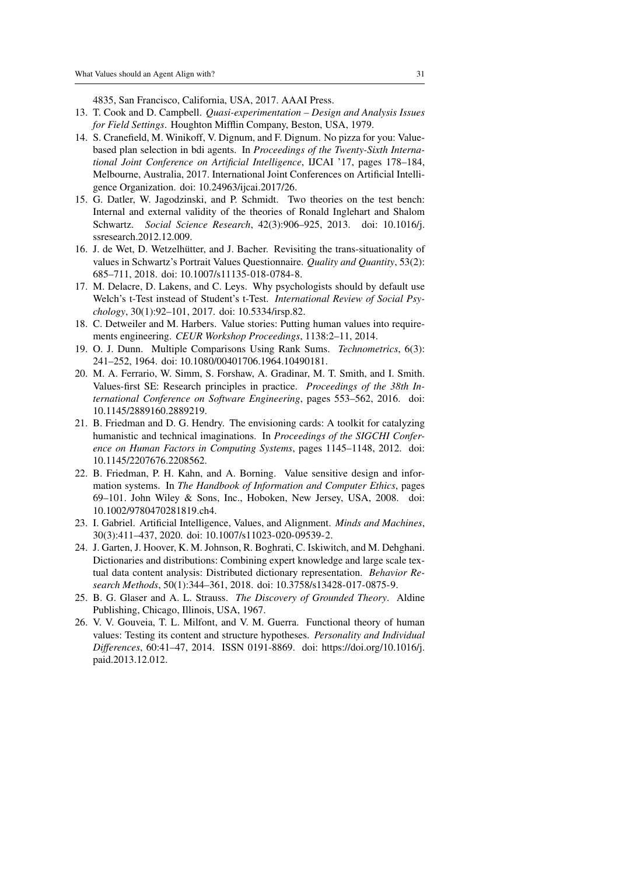4835, San Francisco, California, USA, 2017. AAAI Press.

- <span id="page-30-12"></span>13. T. Cook and D. Campbell. *Quasi-experimentation – Design and Analysis Issues for Field Settings*. Houghton Mifflin Company, Beston, USA, 1979.
- <span id="page-30-1"></span>14. S. Cranefield, M. Winikoff, V. Dignum, and F. Dignum. No pizza for you: Valuebased plan selection in bdi agents. In *Proceedings of the Twenty-Sixth International Joint Conference on Artificial Intelligence*, IJCAI '17, pages 178–184, Melbourne, Australia, 2017. International Joint Conferences on Artificial Intelligence Organization. doi: 10.24963/ijcai.2017/26.
- <span id="page-30-4"></span>15. G. Datler, W. Jagodzinski, and P. Schmidt. Two theories on the test bench: Internal and external validity of the theories of Ronald Inglehart and Shalom Schwartz. *Social Science Research*, 42(3):906–925, 2013. doi: 10.1016/j. ssresearch.2012.12.009.
- <span id="page-30-3"></span>16. J. de Wet, D. Wetzelhütter, and J. Bacher. Revisiting the trans-situationality of values in Schwartz's Portrait Values Questionnaire. *Quality and Quantity*, 53(2): 685–711, 2018. doi: 10.1007/s11135-018-0784-8.
- <span id="page-30-10"></span>17. M. Delacre, D. Lakens, and C. Leys. Why psychologists should by default use Welch's t-Test instead of Student's t-Test. *International Review of Social Psychology*, 30(1):92–101, 2017. doi: 10.5334/irsp.82.
- <span id="page-30-9"></span>18. C. Detweiler and M. Harbers. Value stories: Putting human values into requirements engineering. *CEUR Workshop Proceedings*, 1138:2–11, 2014.
- <span id="page-30-11"></span>19. O. J. Dunn. Multiple Comparisons Using Rank Sums. *Technometrics*, 6(3): 241–252, 1964. doi: 10.1080/00401706.1964.10490181.
- <span id="page-30-8"></span>20. M. A. Ferrario, W. Simm, S. Forshaw, A. Gradinar, M. T. Smith, and I. Smith. Values-first SE: Research principles in practice. *Proceedings of the 38th International Conference on Software Engineering*, pages 553–562, 2016. doi: 10.1145/2889160.2889219.
- <span id="page-30-7"></span>21. B. Friedman and D. G. Hendry. The envisioning cards: A toolkit for catalyzing humanistic and technical imaginations. In *Proceedings of the SIGCHI Conference on Human Factors in Computing Systems*, pages 1145–1148, 2012. doi: 10.1145/2207676.2208562.
- <span id="page-30-2"></span>22. B. Friedman, P. H. Kahn, and A. Borning. Value sensitive design and information systems. In *The Handbook of Information and Computer Ethics*, pages 69–101. John Wiley & Sons, Inc., Hoboken, New Jersey, USA, 2008. doi: 10.1002/9780470281819.ch4.
- <span id="page-30-0"></span>23. I. Gabriel. Artificial Intelligence, Values, and Alignment. *Minds and Machines*, 30(3):411–437, 2020. doi: 10.1007/s11023-020-09539-2.
- <span id="page-30-6"></span>24. J. Garten, J. Hoover, K. M. Johnson, R. Boghrati, C. Iskiwitch, and M. Dehghani. Dictionaries and distributions: Combining expert knowledge and large scale textual data content analysis: Distributed dictionary representation. *Behavior Research Methods*, 50(1):344–361, 2018. doi: 10.3758/s13428-017-0875-9.
- <span id="page-30-5"></span>25. B. G. Glaser and A. L. Strauss. *The Discovery of Grounded Theory*. Aldine Publishing, Chicago, Illinois, USA, 1967.
- <span id="page-30-13"></span>26. V. V. Gouveia, T. L. Milfont, and V. M. Guerra. Functional theory of human values: Testing its content and structure hypotheses. *Personality and Individual Differences*, 60:41–47, 2014. ISSN 0191-8869. doi: https://doi.org/10.1016/j. paid.2013.12.012.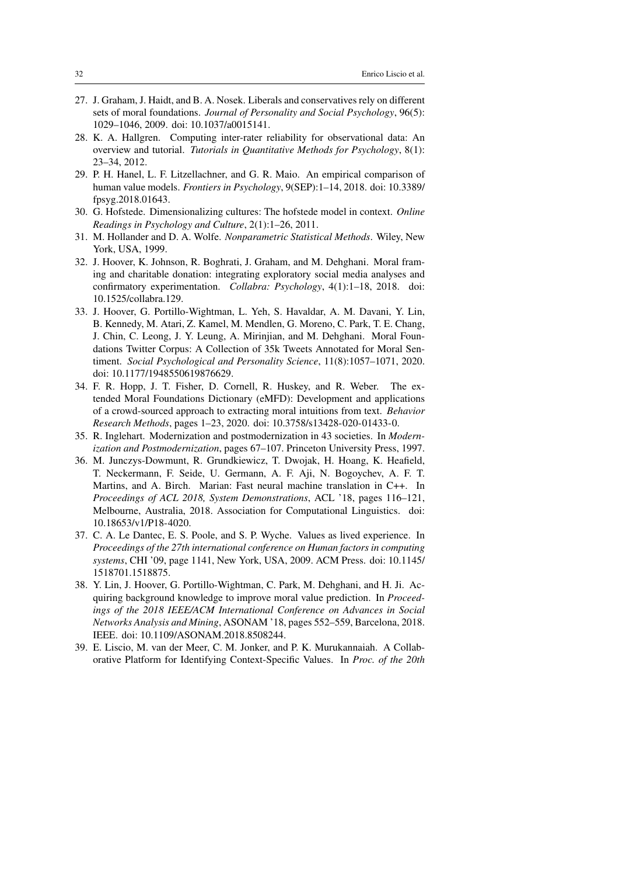- <span id="page-31-0"></span>27. J. Graham, J. Haidt, and B. A. Nosek. Liberals and conservatives rely on different sets of moral foundations. *Journal of Personality and Social Psychology*, 96(5): 1029–1046, 2009. doi: 10.1037/a0015141.
- <span id="page-31-8"></span>28. K. A. Hallgren. Computing inter-rater reliability for observational data: An overview and tutorial. *Tutorials in Quantitative Methods for Psychology*, 8(1): 23–34, 2012.
- <span id="page-31-6"></span>29. P. H. Hanel, L. F. Litzellachner, and G. R. Maio. An empirical comparison of human value models. *Frontiers in Psychology*, 9(SEP):1–14, 2018. doi: 10.3389/ fpsyg.2018.01643.
- <span id="page-31-11"></span>30. G. Hofstede. Dimensionalizing cultures: The hofstede model in context. *Online Readings in Psychology and Culture*, 2(1):1–26, 2011.
- <span id="page-31-9"></span>31. M. Hollander and D. A. Wolfe. *Nonparametric Statistical Methods*. Wiley, New York, USA, 1999.
- <span id="page-31-4"></span>32. J. Hoover, K. Johnson, R. Boghrati, J. Graham, and M. Dehghani. Moral framing and charitable donation: integrating exploratory social media analyses and confirmatory experimentation. *Collabra: Psychology*, 4(1):1–18, 2018. doi: 10.1525/collabra.129.
- <span id="page-31-10"></span>33. J. Hoover, G. Portillo-Wightman, L. Yeh, S. Havaldar, A. M. Davani, Y. Lin, B. Kennedy, M. Atari, Z. Kamel, M. Mendlen, G. Moreno, C. Park, T. E. Chang, J. Chin, C. Leong, J. Y. Leung, A. Mirinjian, and M. Dehghani. Moral Foundations Twitter Corpus: A Collection of 35k Tweets Annotated for Moral Sentiment. *Social Psychological and Personality Science*, 11(8):1057–1071, 2020. doi: 10.1177/1948550619876629.
- <span id="page-31-5"></span>34. F. R. Hopp, J. T. Fisher, D. Cornell, R. Huskey, and R. Weber. The extended Moral Foundations Dictionary (eMFD): Development and applications of a crowd-sourced approach to extracting moral intuitions from text. *Behavior Research Methods*, pages 1–23, 2020. doi: 10.3758/s13428-020-01433-0.
- <span id="page-31-12"></span>35. R. Inglehart. Modernization and postmodernization in 43 societies. In *Modernization and Postmodernization*, pages 67–107. Princeton University Press, 1997.
- <span id="page-31-7"></span>36. M. Junczys-Dowmunt, R. Grundkiewicz, T. Dwojak, H. Hoang, K. Heafield, T. Neckermann, F. Seide, U. Germann, A. F. Aji, N. Bogoychev, A. F. T. Martins, and A. Birch. Marian: Fast neural machine translation in C++. In *Proceedings of ACL 2018, System Demonstrations*, ACL '18, pages 116–121, Melbourne, Australia, 2018. Association for Computational Linguistics. doi: 10.18653/v1/P18-4020.
- <span id="page-31-1"></span>37. C. A. Le Dantec, E. S. Poole, and S. P. Wyche. Values as lived experience. In *Proceedings of the 27th international conference on Human factors in computing systems*, CHI '09, page 1141, New York, USA, 2009. ACM Press. doi: 10.1145/ 1518701.1518875.
- <span id="page-31-3"></span>38. Y. Lin, J. Hoover, G. Portillo-Wightman, C. Park, M. Dehghani, and H. Ji. Acquiring background knowledge to improve moral value prediction. In *Proceedings of the 2018 IEEE/ACM International Conference on Advances in Social Networks Analysis and Mining*, ASONAM '18, pages 552–559, Barcelona, 2018. IEEE. doi: 10.1109/ASONAM.2018.8508244.
- <span id="page-31-2"></span>39. E. Liscio, M. van der Meer, C. M. Jonker, and P. K. Murukannaiah. A Collaborative Platform for Identifying Context-Specific Values. In *Proc. of the 20th*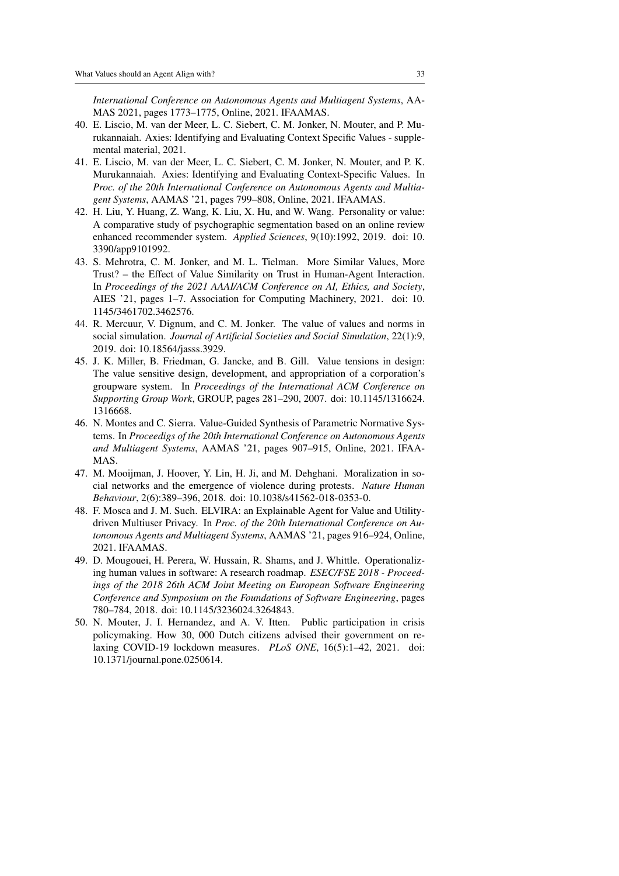*International Conference on Autonomous Agents and Multiagent Systems*, AA-MAS 2021, pages 1773–1775, Online, 2021. IFAAMAS.

- <span id="page-32-5"></span>40. E. Liscio, M. van der Meer, L. C. Siebert, C. M. Jonker, N. Mouter, and P. Murukannaiah. Axies: Identifying and Evaluating Context Specific Values - supplemental material, 2021.
- <span id="page-32-4"></span>41. E. Liscio, M. van der Meer, L. C. Siebert, C. M. Jonker, N. Mouter, and P. K. Murukannaiah. Axies: Identifying and Evaluating Context-Specific Values. In *Proc. of the 20th International Conference on Autonomous Agents and Multiagent Systems*, AAMAS '21, pages 799–808, Online, 2021. IFAAMAS.
- <span id="page-32-7"></span>42. H. Liu, Y. Huang, Z. Wang, K. Liu, X. Hu, and W. Wang. Personality or value: A comparative study of psychographic segmentation based on an online review enhanced recommender system. *Applied Sciences*, 9(10):1992, 2019. doi: 10. 3390/app9101992.
- <span id="page-32-2"></span>43. S. Mehrotra, C. M. Jonker, and M. L. Tielman. More Similar Values, More Trust? – the Effect of Value Similarity on Trust in Human-Agent Interaction. In *Proceedings of the 2021 AAAI/ACM Conference on AI, Ethics, and Society*, AIES '21, pages 1–7. Association for Computing Machinery, 2021. doi: 10. 1145/3461702.3462576.
- <span id="page-32-0"></span>44. R. Mercuur, V. Dignum, and C. M. Jonker. The value of values and norms in social simulation. *Journal of Artificial Societies and Social Simulation*, 22(1):9, 2019. doi: 10.18564/jasss.3929.
- <span id="page-32-9"></span>45. J. K. Miller, B. Friedman, G. Jancke, and B. Gill. Value tensions in design: The value sensitive design, development, and appropriation of a corporation's groupware system. In *Proceedings of the International ACM Conference on Supporting Group Work*, GROUP, pages 281–290, 2007. doi: 10.1145/1316624. 1316668.
- <span id="page-32-1"></span>46. N. Montes and C. Sierra. Value-Guided Synthesis of Parametric Normative Systems. In *Proceedigs of the 20th International Conference on Autonomous Agents and Multiagent Systems*, AAMAS '21, pages 907–915, Online, 2021. IFAA-MAS.
- <span id="page-32-6"></span>47. M. Mooijman, J. Hoover, Y. Lin, H. Ji, and M. Dehghani. Moralization in social networks and the emergence of violence during protests. *Nature Human Behaviour*, 2(6):389–396, 2018. doi: 10.1038/s41562-018-0353-0.
- <span id="page-32-8"></span>48. F. Mosca and J. M. Such. ELVIRA: an Explainable Agent for Value and Utilitydriven Multiuser Privacy. In *Proc. of the 20th International Conference on Autonomous Agents and Multiagent Systems*, AAMAS '21, pages 916–924, Online, 2021. IFAAMAS.
- <span id="page-32-10"></span>49. D. Mougouei, H. Perera, W. Hussain, R. Shams, and J. Whittle. Operationalizing human values in software: A research roadmap. *ESEC/FSE 2018 - Proceedings of the 2018 26th ACM Joint Meeting on European Software Engineering Conference and Symposium on the Foundations of Software Engineering*, pages 780–784, 2018. doi: 10.1145/3236024.3264843.
- <span id="page-32-3"></span>50. N. Mouter, J. I. Hernandez, and A. V. Itten. Public participation in crisis policymaking. How 30, 000 Dutch citizens advised their government on relaxing COVID-19 lockdown measures. *PLoS ONE*, 16(5):1–42, 2021. doi: 10.1371/journal.pone.0250614.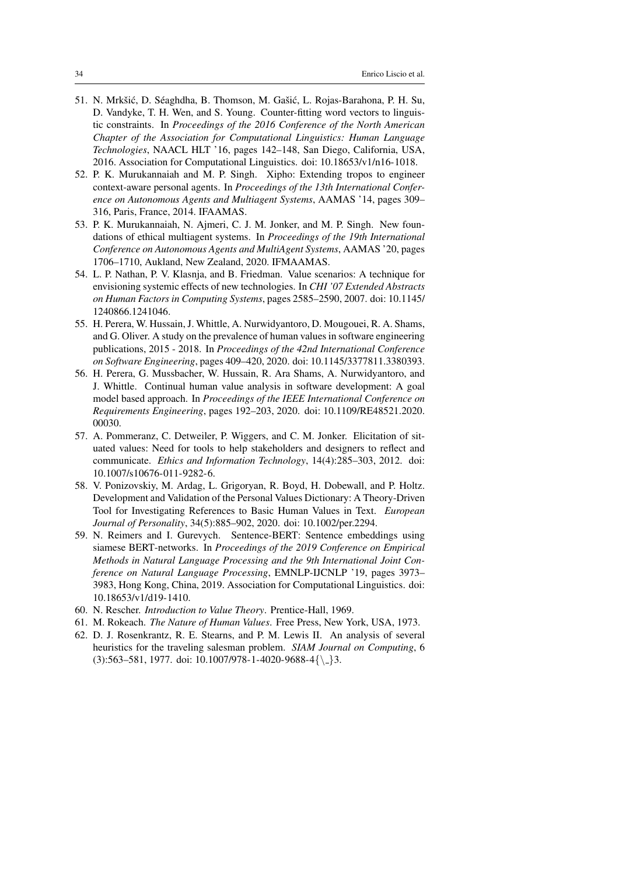- <span id="page-33-11"></span>51. N. Mrkšić, D. Séaghdha, B. Thomson, M. Gašić, L. Rojas-Barahona, P. H. Su, D. Vandyke, T. H. Wen, and S. Young. Counter-fitting word vectors to linguistic constraints. In *Proceedings of the 2016 Conference of the North American Chapter of the Association for Computational Linguistics: Human Language Technologies*, NAACL HLT '16, pages 142–148, San Diego, California, USA, 2016. Association for Computational Linguistics. doi: 10.18653/v1/n16-1018.
- <span id="page-33-3"></span>52. P. K. Murukannaiah and M. P. Singh. Xipho: Extending tropos to engineer context-aware personal agents. In *Proceedings of the 13th International Conference on Autonomous Agents and Multiagent Systems*, AAMAS '14, pages 309– 316, Paris, France, 2014. IFAAMAS.
- <span id="page-33-0"></span>53. P. K. Murukannaiah, N. Ajmeri, C. J. M. Jonker, and M. P. Singh. New foundations of ethical multiagent systems. In *Proceedings of the 19th International Conference on Autonomous Agents and MultiAgent Systems*, AAMAS '20, pages 1706–1710, Aukland, New Zealand, 2020. IFMAAMAS.
- <span id="page-33-5"></span>54. L. P. Nathan, P. V. Klasnja, and B. Friedman. Value scenarios: A technique for envisioning systemic effects of new technologies. In *CHI '07 Extended Abstracts on Human Factors in Computing Systems*, pages 2585–2590, 2007. doi: 10.1145/ 1240866.1241046.
- <span id="page-33-7"></span>55. H. Perera, W. Hussain, J. Whittle, A. Nurwidyantoro, D. Mougouei, R. A. Shams, and G. Oliver. A study on the prevalence of human values in software engineering publications, 2015 - 2018. In *Proceedings of the 42nd International Conference on Software Engineering*, pages 409–420, 2020. doi: 10.1145/3377811.3380393.
- <span id="page-33-6"></span>56. H. Perera, G. Mussbacher, W. Hussain, R. Ara Shams, A. Nurwidyantoro, and J. Whittle. Continual human value analysis in software development: A goal model based approach. In *Proceedings of the IEEE International Conference on Requirements Engineering*, pages 192–203, 2020. doi: 10.1109/RE48521.2020. 00030.
- <span id="page-33-2"></span>57. A. Pommeranz, C. Detweiler, P. Wiggers, and C. M. Jonker. Elicitation of situated values: Need for tools to help stakeholders and designers to reflect and communicate. *Ethics and Information Technology*, 14(4):285–303, 2012. doi: 10.1007/s10676-011-9282-6.
- <span id="page-33-4"></span>58. V. Ponizovskiy, M. Ardag, L. Grigoryan, R. Boyd, H. Dobewall, and P. Holtz. Development and Validation of the Personal Values Dictionary: A Theory-Driven Tool for Investigating References to Basic Human Values in Text. *European Journal of Personality*, 34(5):885–902, 2020. doi: 10.1002/per.2294.
- <span id="page-33-9"></span>59. N. Reimers and I. Gurevych. Sentence-BERT: Sentence embeddings using siamese BERT-networks. In *Proceedings of the 2019 Conference on Empirical Methods in Natural Language Processing and the 9th International Joint Conference on Natural Language Processing*, EMNLP-IJCNLP '19, pages 3973– 3983, Hong Kong, China, 2019. Association for Computational Linguistics. doi: 10.18653/v1/d19-1410.
- <span id="page-33-8"></span>60. N. Rescher. *Introduction to Value Theory*. Prentice-Hall, 1969.
- <span id="page-33-1"></span>61. M. Rokeach. *The Nature of Human Values*. Free Press, New York, USA, 1973.
- <span id="page-33-10"></span>62. D. J. Rosenkrantz, R. E. Stearns, and P. M. Lewis II. An analysis of several heuristics for the traveling salesman problem. *SIAM Journal on Computing*, 6  $(3):$ 563–581, 1977. doi: 10.1007/978-1-4020-9688-4 $\{\ \}$ 3.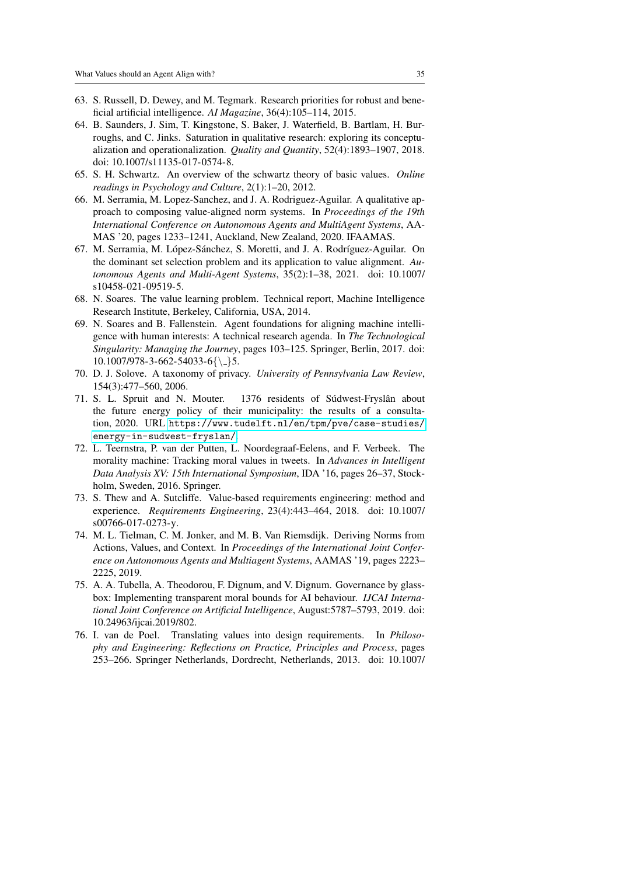- <span id="page-34-1"></span>63. S. Russell, D. Dewey, and M. Tegmark. Research priorities for robust and beneficial artificial intelligence. *AI Magazine*, 36(4):105–114, 2015.
- <span id="page-34-12"></span>64. B. Saunders, J. Sim, T. Kingstone, S. Baker, J. Waterfield, B. Bartlam, H. Burroughs, and C. Jinks. Saturation in qualitative research: exploring its conceptualization and operationalization. *Quality and Quantity*, 52(4):1893–1907, 2018. doi: 10.1007/s11135-017-0574-8.
- <span id="page-34-0"></span>65. S. H. Schwartz. An overview of the schwartz theory of basic values. *Online readings in Psychology and Culture*, 2(1):1–20, 2012.
- <span id="page-34-6"></span>66. M. Serramia, M. Lopez-Sanchez, and J. A. Rodriguez-Aguilar. A qualitative approach to composing value-aligned norm systems. In *Proceedings of the 19th International Conference on Autonomous Agents and MultiAgent Systems*, AA-MAS '20, pages 1233–1241, Auckland, New Zealand, 2020. IFAAMAS.
- <span id="page-34-10"></span>67. M. Serramia, M. López-Sánchez, S. Moretti, and J. A. Rodríguez-Aguilar. On the dominant set selection problem and its application to value alignment. *Autonomous Agents and Multi-Agent Systems*, 35(2):1–38, 2021. doi: 10.1007/ s10458-021-09519-5.
- <span id="page-34-3"></span>68. N. Soares. The value learning problem. Technical report, Machine Intelligence Research Institute, Berkeley, California, USA, 2014.
- <span id="page-34-2"></span>69. N. Soares and B. Fallenstein. Agent foundations for aligning machine intelligence with human interests: A technical research agenda. In *The Technological Singularity: Managing the Journey*, pages 103–125. Springer, Berlin, 2017. doi:  $10.1007/978 - 3 - 662 - 54033 - 6$ {\dotsizes}
- <span id="page-34-4"></span>70. D. J. Solove. A taxonomy of privacy. *University of Pennsylvania Law Review*, 154(3):477–560, 2006.
- <span id="page-34-13"></span>71. S. L. Spruit and N. Mouter. 1376 residents of Súdwest-Fryslân about the future energy policy of their municipality: the results of a consultation, 2020. URL [https://www.tudelft.nl/en/tpm/pve/case-studies/](https://www.tudelft.nl/en/tpm/pve/case-studies/energy-in-sudwest-fryslan/) [energy-in-sudwest-fryslan/](https://www.tudelft.nl/en/tpm/pve/case-studies/energy-in-sudwest-fryslan/).
- <span id="page-34-9"></span>72. L. Teernstra, P. van der Putten, L. Noordegraaf-Eelens, and F. Verbeek. The morality machine: Tracking moral values in tweets. In *Advances in Intelligent Data Analysis XV: 15th International Symposium*, IDA '16, pages 26–37, Stockholm, Sweden, 2016. Springer.
- <span id="page-34-11"></span>73. S. Thew and A. Sutcliffe. Value-based requirements engineering: method and experience. *Requirements Engineering*, 23(4):443–464, 2018. doi: 10.1007/ s00766-017-0273-y.
- <span id="page-34-7"></span>74. M. L. Tielman, C. M. Jonker, and M. B. Van Riemsdijk. Deriving Norms from Actions, Values, and Context. In *Proceedings of the International Joint Conference on Autonomous Agents and Multiagent Systems*, AAMAS '19, pages 2223– 2225, 2019.
- <span id="page-34-8"></span>75. A. A. Tubella, A. Theodorou, F. Dignum, and V. Dignum. Governance by glassbox: Implementing transparent moral bounds for AI behaviour. *IJCAI International Joint Conference on Artificial Intelligence*, August:5787–5793, 2019. doi: 10.24963/ijcai.2019/802.
- <span id="page-34-5"></span>76. I. van de Poel. Translating values into design requirements. In *Philosophy and Engineering: Reflections on Practice, Principles and Process*, pages 253–266. Springer Netherlands, Dordrecht, Netherlands, 2013. doi: 10.1007/